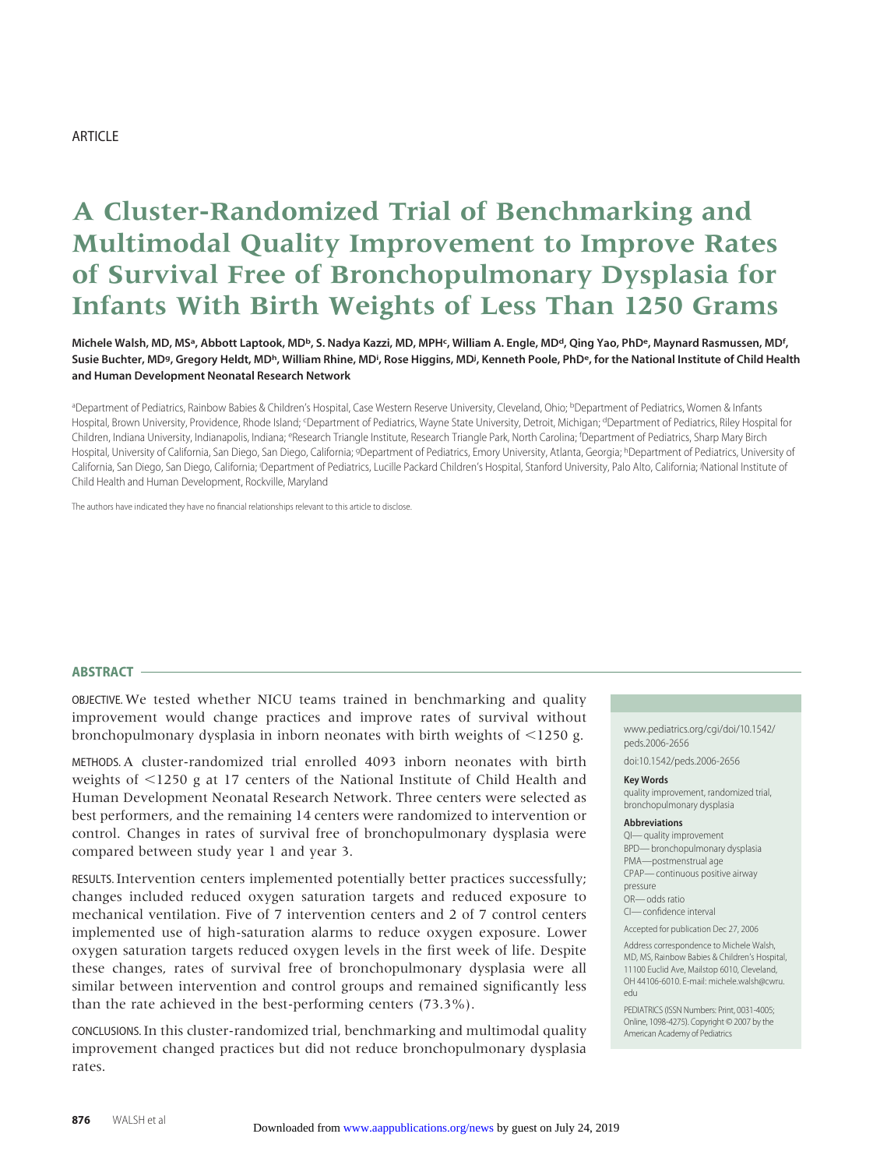# ARTICLE

# **A Cluster-Randomized Trial of Benchmarking and Multimodal Quality Improvement to Improve Rates of Survival Free of Bronchopulmonary Dysplasia for Infants With Birth Weights of Less Than 1250 Grams**

Michele Walsh, MD, MSª, Abbott Laptook, MDb, S. Nadya Kazzi, MD, MPH<sup>c</sup>, William A. Engle, MD<sup>d</sup>, Qing Yao, PhD<sup>e</sup>, Maynard Rasmussen, MD<sup>f</sup>, Susie Buchter, MD<sup>g</sup>, Gregory Heldt, MD<sup>h</sup>, William Rhine, MD<sup>i</sup>, Rose Higgins, MD<sup>j</sup>, Kenneth Poole, PhD<sup>e</sup>, for the National Institute of Child Health **and Human Development Neonatal Research Network**

aDepartment of Pediatrics, Rainbow Babies & Children's Hospital, Case Western Reserve University, Cleveland, Ohio; <sup>b</sup>Department of Pediatrics, Women & Infants Hospital, Brown University, Providence, Rhode Island; <sup>c</sup>Department of Pediatrics, Wayne State University, Detroit, Michigan; <sup>d</sup>Department of Pediatrics, Riley Hospital for Children, Indiana University, Indianapolis, Indiana; <sup>e</sup>Research Triangle Institute, Research Triangle Park, North Carolina; <sup>f</sup>Department of Pediatrics, Sharp Mary Birch Hospital, University of California, San Diego, San Diego, California; <sup>9</sup>Department of Pediatrics, Emory University, Atlanta, Georgia; <sup>h</sup>Department of Pediatrics, University of California, San Diego, San Diego, California; <sup>i</sup>Department of Pediatrics, Lucille Packard Children's Hospital, Stanford University, Palo Alto, California; <sup>j</sup>National Institute of Child Health and Human Development, Rockville, Maryland

The authors have indicated they have no financial relationships relevant to this article to disclose.

#### **ABSTRACT**

OBJECTIVE. We tested whether NICU teams trained in benchmarking and quality improvement would change practices and improve rates of survival without bronchopulmonary dysplasia in inborn neonates with birth weights of  $\leq$ 1250 g.

METHODS. A cluster-randomized trial enrolled 4093 inborn neonates with birth weights of  $\leq$ 1250 g at 17 centers of the National Institute of Child Health and Human Development Neonatal Research Network. Three centers were selected as best performers, and the remaining 14 centers were randomized to intervention or control. Changes in rates of survival free of bronchopulmonary dysplasia were compared between study year 1 and year 3.

RESULTS. Intervention centers implemented potentially better practices successfully; changes included reduced oxygen saturation targets and reduced exposure to mechanical ventilation. Five of 7 intervention centers and 2 of 7 control centers implemented use of high-saturation alarms to reduce oxygen exposure. Lower oxygen saturation targets reduced oxygen levels in the first week of life. Despite these changes, rates of survival free of bronchopulmonary dysplasia were all similar between intervention and control groups and remained significantly less than the rate achieved in the best-performing centers (73.3%).

CONCLUSIONS. In this cluster-randomized trial, benchmarking and multimodal quality improvement changed practices but did not reduce bronchopulmonary dysplasia rates.

www.pediatrics.org/cgi/doi/10.1542/ peds.2006-2656

doi:10.1542/peds.2006-2656

#### **Key Words**

quality improvement, randomized trial, bronchopulmonary dysplasia

#### **Abbreviations**

QI—quality improvement BPD—bronchopulmonary dysplasia PMA—postmenstrual age CPAP— continuous positive airway pressure OR— odds ratio CI— confidence interval

Accepted for publication Dec 27, 2006

Address correspondence to Michele Walsh, MD, MS, Rainbow Babies & Children's Hospital, 11100 Euclid Ave, Mailstop 6010, Cleveland, OH 44106-6010. E-mail: michele.walsh@cwru. edu

PEDIATRICS (ISSN Numbers: Print, 0031-4005; Online, 1098-4275). Copyright © 2007 by the American Academy of Pediatrics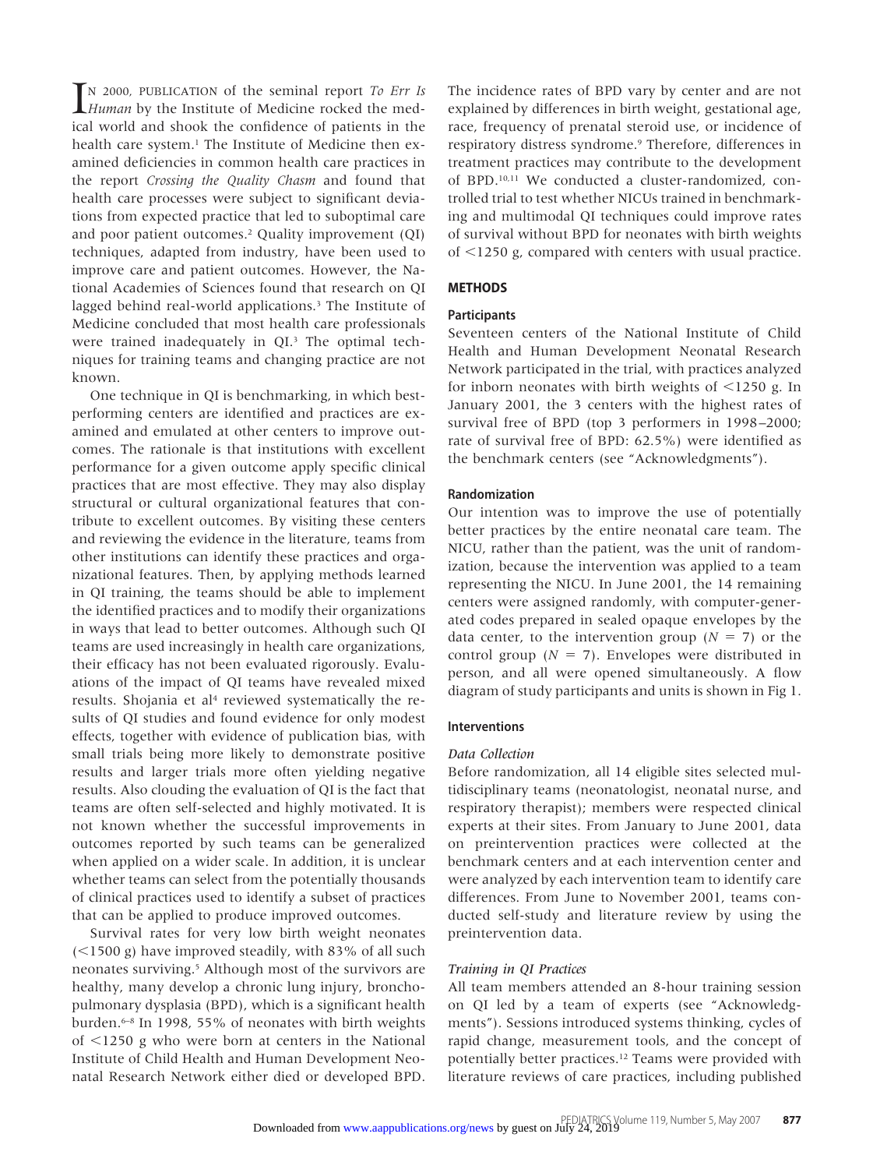IN 2000, PUBLICATION of the seminal report *To Err Is*<br>*Human* by the Institute of Medicine rocked the med-*Human* by the Institute of Medicine rocked the medical world and shook the confidence of patients in the health care system.<sup>1</sup> The Institute of Medicine then examined deficiencies in common health care practices in the report *Crossing the Quality Chasm* and found that health care processes were subject to significant deviations from expected practice that led to suboptimal care and poor patient outcomes.2 Quality improvement (QI) techniques, adapted from industry, have been used to improve care and patient outcomes. However, the National Academies of Sciences found that research on QI lagged behind real-world applications.3 The Institute of Medicine concluded that most health care professionals were trained inadequately in QI.3 The optimal techniques for training teams and changing practice are not known.

One technique in QI is benchmarking, in which bestperforming centers are identified and practices are examined and emulated at other centers to improve outcomes. The rationale is that institutions with excellent performance for a given outcome apply specific clinical practices that are most effective. They may also display structural or cultural organizational features that contribute to excellent outcomes. By visiting these centers and reviewing the evidence in the literature, teams from other institutions can identify these practices and organizational features. Then, by applying methods learned in QI training, the teams should be able to implement the identified practices and to modify their organizations in ways that lead to better outcomes. Although such QI teams are used increasingly in health care organizations, their efficacy has not been evaluated rigorously. Evaluations of the impact of QI teams have revealed mixed results. Shojania et al<sup>4</sup> reviewed systematically the results of QI studies and found evidence for only modest effects, together with evidence of publication bias, with small trials being more likely to demonstrate positive results and larger trials more often yielding negative results. Also clouding the evaluation of QI is the fact that teams are often self-selected and highly motivated. It is not known whether the successful improvements in outcomes reported by such teams can be generalized when applied on a wider scale. In addition, it is unclear whether teams can select from the potentially thousands of clinical practices used to identify a subset of practices that can be applied to produce improved outcomes.

Survival rates for very low birth weight neonates  $(<$ 1500 g) have improved steadily, with 83% of all such neonates surviving.5 Although most of the survivors are healthy, many develop a chronic lung injury, bronchopulmonary dysplasia (BPD), which is a significant health burden.6–8 In 1998, 55% of neonates with birth weights  $of < 1250$  g who were born at centers in the National Institute of Child Health and Human Development Neonatal Research Network either died or developed BPD.

The incidence rates of BPD vary by center and are not explained by differences in birth weight, gestational age, race, frequency of prenatal steroid use, or incidence of respiratory distress syndrome.9 Therefore, differences in treatment practices may contribute to the development of BPD.10,11 We conducted a cluster-randomized, controlled trial to test whether NICUs trained in benchmarking and multimodal QI techniques could improve rates of survival without BPD for neonates with birth weights of  $1250$  g, compared with centers with usual practice.

# **METHODS**

#### **Participants**

Seventeen centers of the National Institute of Child Health and Human Development Neonatal Research Network participated in the trial, with practices analyzed for inborn neonates with birth weights of  $\leq$ 1250 g. In January 2001, the 3 centers with the highest rates of survival free of BPD (top 3 performers in 1998 –2000; rate of survival free of BPD: 62.5%) were identified as the benchmark centers (see "Acknowledgments").

#### **Randomization**

Our intention was to improve the use of potentially better practices by the entire neonatal care team. The NICU, rather than the patient, was the unit of randomization, because the intervention was applied to a team representing the NICU. In June 2001, the 14 remaining centers were assigned randomly, with computer-generated codes prepared in sealed opaque envelopes by the data center, to the intervention group ( $N = 7$ ) or the control group ( $N = 7$ ). Envelopes were distributed in person, and all were opened simultaneously. A flow diagram of study participants and units is shown in Fig 1.

# **Interventions**

#### *Data Collection*

Before randomization, all 14 eligible sites selected multidisciplinary teams (neonatologist, neonatal nurse, and respiratory therapist); members were respected clinical experts at their sites. From January to June 2001, data on preintervention practices were collected at the benchmark centers and at each intervention center and were analyzed by each intervention team to identify care differences. From June to November 2001, teams conducted self-study and literature review by using the preintervention data.

#### *Training in QI Practices*

All team members attended an 8-hour training session on QI led by a team of experts (see "Acknowledgments"). Sessions introduced systems thinking, cycles of rapid change, measurement tools, and the concept of potentially better practices.12 Teams were provided with literature reviews of care practices, including published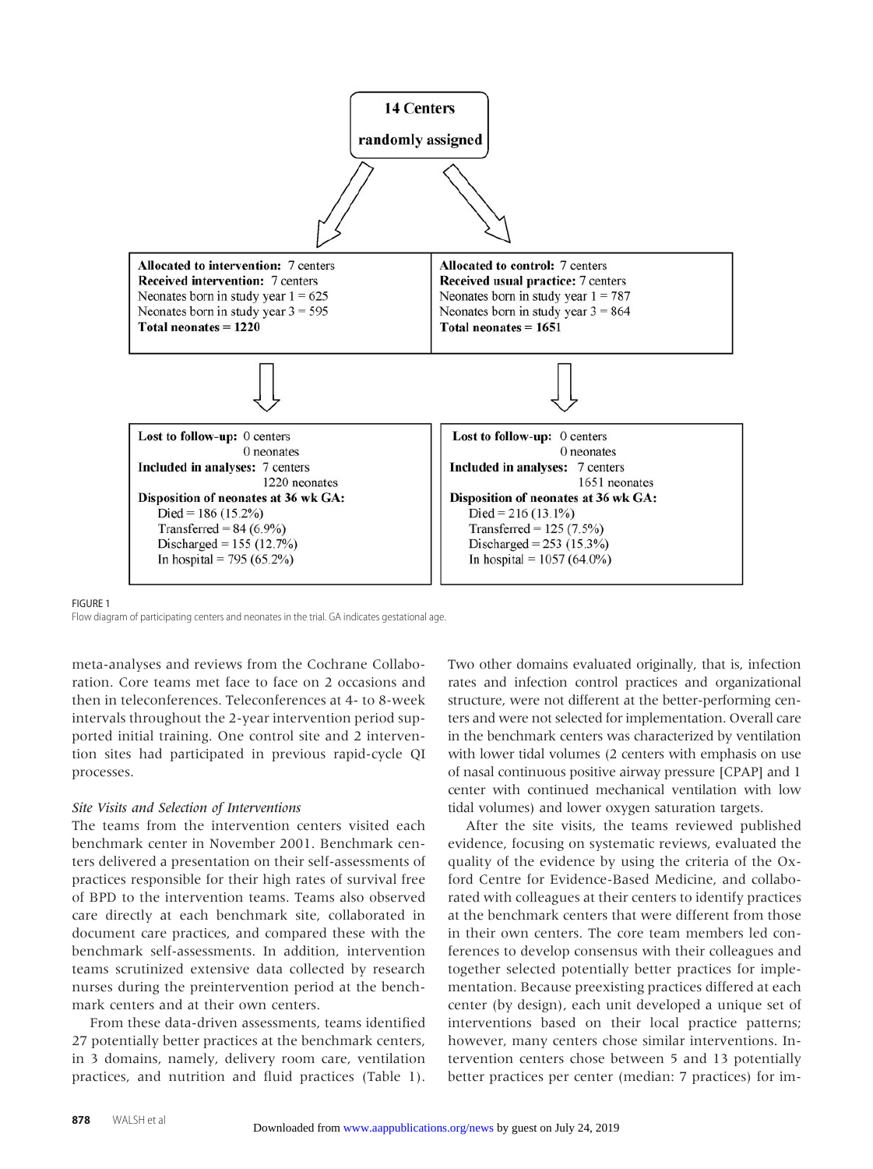

#### FIGURE 1

Flow diagram of participating centers and neonates in the trial. GA indicates gestational age.

meta-analyses and reviews from the Cochrane Collaboration. Core teams met face to face on 2 occasions and then in teleconferences. Teleconferences at 4- to 8-week intervals throughout the 2-year intervention period supported initial training. One control site and 2 intervention sites had participated in previous rapid-cycle QI processes.

#### *Site Visits and Selection of Interventions*

The teams from the intervention centers visited each benchmark center in November 2001. Benchmark centers delivered a presentation on their self-assessments of practices responsible for their high rates of survival free of BPD to the intervention teams. Teams also observed care directly at each benchmark site, collaborated in document care practices, and compared these with the benchmark self-assessments. In addition, intervention teams scrutinized extensive data collected by research nurses during the preintervention period at the benchmark centers and at their own centers.

From these data-driven assessments, teams identified 27 potentially better practices at the benchmark centers, in 3 domains, namely, delivery room care, ventilation practices, and nutrition and fluid practices (Table 1). Two other domains evaluated originally, that is, infection rates and infection control practices and organizational structure, were not different at the better-performing centers and were not selected for implementation. Overall care in the benchmark centers was characterized by ventilation with lower tidal volumes (2 centers with emphasis on use of nasal continuous positive airway pressure [CPAP] and 1 center with continued mechanical ventilation with low tidal volumes) and lower oxygen saturation targets.

After the site visits, the teams reviewed published evidence, focusing on systematic reviews, evaluated the quality of the evidence by using the criteria of the Oxford Centre for Evidence-Based Medicine, and collaborated with colleagues at their centers to identify practices at the benchmark centers that were different from those in their own centers. The core team members led conferences to develop consensus with their colleagues and together selected potentially better practices for implementation. Because preexisting practices differed at each center (by design), each unit developed a unique set of interventions based on their local practice patterns; however, many centers chose similar interventions. Intervention centers chose between 5 and 13 potentially better practices per center (median: 7 practices) for im-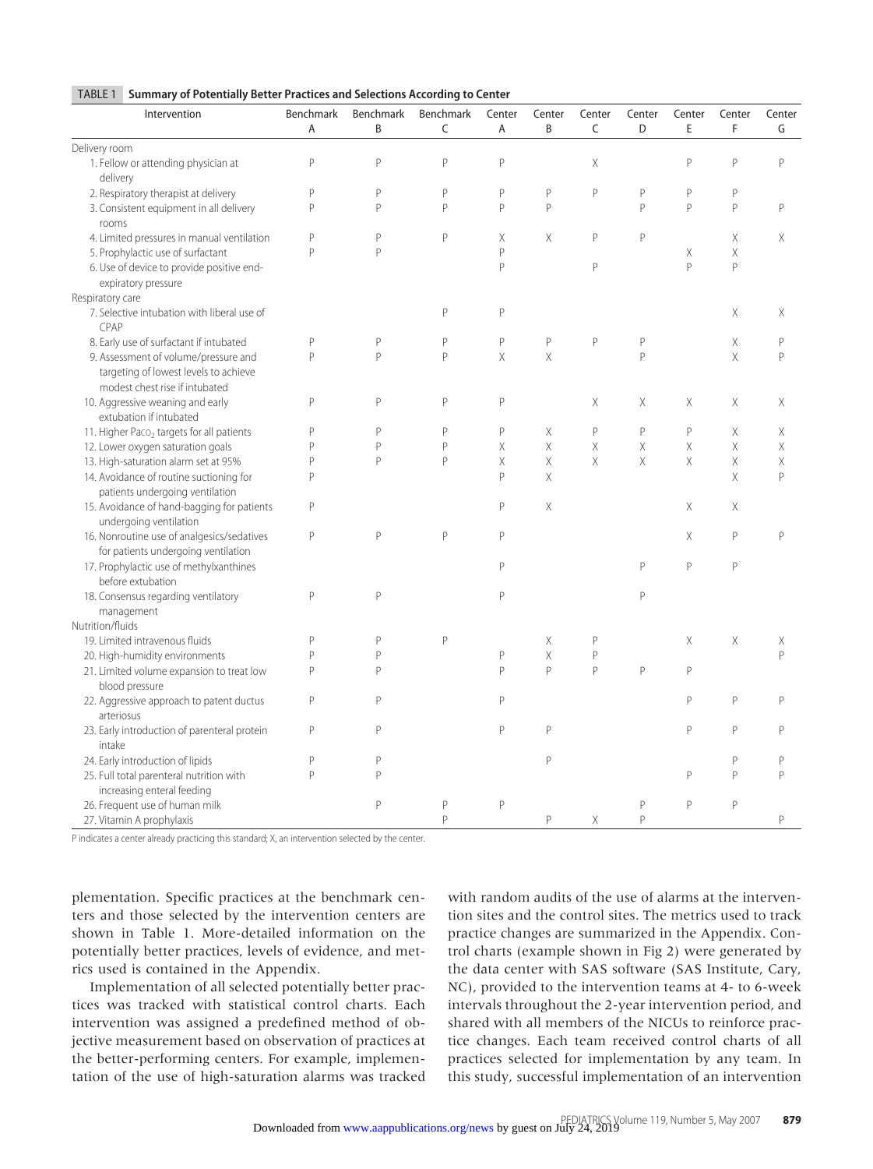| <b>TABLE 1</b> Summary of Potentially Better Practices and Selections According to Center |
|-------------------------------------------------------------------------------------------|
|                                                                                           |

| Intervention                                                                                                    | Benchmark<br>Α | Benchmark<br>B | Benchmark<br>$\mathsf{C}$ | Center<br>Α | Center<br>B | Center<br>C  | Center<br>D                                                                                       | Center<br>E  | Center<br>F | Center<br>G  |
|-----------------------------------------------------------------------------------------------------------------|----------------|----------------|---------------------------|-------------|-------------|--------------|---------------------------------------------------------------------------------------------------|--------------|-------------|--------------|
| Delivery room                                                                                                   |                |                |                           |             |             |              |                                                                                                   |              |             |              |
| 1. Fellow or attending physician at<br>delivery                                                                 | P              | P              | P                         | P           |             | X            |                                                                                                   | $\mathsf{P}$ | P           | $\mathsf{P}$ |
| 2. Respiratory therapist at delivery                                                                            | P              | P              | $\mathsf{P}$              | P           | P           | $\mathsf{P}$ | $\mathsf{P}$                                                                                      | $\mathsf{P}$ | P           |              |
| 3. Consistent equipment in all delivery<br>rooms                                                                | P              | P              | $\mathsf{P}$              | P           | P           |              | $\mathsf{P}$                                                                                      | $\mathsf{P}$ | P           | $\mathsf{P}$ |
| 4. Limited pressures in manual ventilation                                                                      | P              | P              | $\mathsf{P}$              | Χ           | X           | P            | P                                                                                                 |              | Χ           | X            |
| 5. Prophylactic use of surfactant                                                                               | P              | P              |                           | P           |             |              |                                                                                                   | Χ            | Χ           |              |
| 6. Use of device to provide positive end-<br>expiratory pressure                                                |                |                |                           | P           |             | P            |                                                                                                   | $\mathsf{p}$ | P           |              |
| Respiratory care                                                                                                |                |                |                           |             |             |              |                                                                                                   |              |             |              |
| 7. Selective intubation with liberal use of<br>CPAP                                                             |                |                | $\mathsf{P}$              | P           |             |              |                                                                                                   |              | Χ           | Χ            |
| 8. Early use of surfactant if intubated                                                                         | P              | P              | $\mathsf{P}$              | P           | P           | P            | $\mathsf{P}$                                                                                      |              | Χ           | $\mathsf{P}$ |
| 9. Assessment of volume/pressure and<br>targeting of lowest levels to achieve<br>modest chest rise if intubated | p              | p              | $\mathsf{P}$              | X           | $\times$    |              | $\mathsf{P}$                                                                                      |              | X           | $\mathsf{P}$ |
| 10. Aggressive weaning and early<br>extubation if intubated                                                     | P              | P              | $\mathsf{P}$              | P           |             | X            | X                                                                                                 | X            | X           | X            |
| 11. Higher Paco <sub>2</sub> targets for all patients                                                           | P              | P              | $\mathsf{P}$              | P           | Χ           | $\mathsf{P}$ | $\mathsf{P}% _{0}\left( \mathcal{A}_{0}\right) \equiv\mathsf{P}_{0}\left( \mathcal{A}_{0}\right)$ | $\mathsf{P}$ | Χ           | Χ            |
| 12. Lower oxygen saturation goals                                                                               | P              | P              | $\mathsf{P}$              | Χ           | $\mathsf X$ | Χ            | Χ                                                                                                 | $\mathsf X$  | Χ           | Χ            |
| 13. High-saturation alarm set at 95%                                                                            | P              | P              | $\mathsf{P}$              | Χ           | $\mathsf X$ | $\chi$       | $\times$                                                                                          | $\times$     | $\mathsf X$ | Χ            |
| 14. Avoidance of routine suctioning for<br>patients undergoing ventilation                                      | P              |                |                           | P           | $\times$    |              |                                                                                                   |              | Χ           | $\mathsf{P}$ |
| 15. Avoidance of hand-bagging for patients<br>undergoing ventilation                                            | P              |                |                           | P           | $\times$    |              |                                                                                                   | X            | Χ           |              |
| 16. Nonroutine use of analgesics/sedatives<br>for patients undergoing ventilation                               | P              | P              | $\mathsf{P}$              | P           |             |              |                                                                                                   | X            | P           | $\mathsf{P}$ |
| 17. Prophylactic use of methylxanthines<br>before extubation                                                    |                |                |                           | P           |             |              | $\mathsf{P}$                                                                                      | $\mathsf{P}$ | P           |              |
| 18. Consensus regarding ventilatory<br>management                                                               | P              | P              |                           | P           |             |              | $\mathsf{P}$                                                                                      |              |             |              |
| Nutrition/fluids                                                                                                |                |                |                           |             |             |              |                                                                                                   |              |             |              |
| 19. Limited intravenous fluids                                                                                  | P              | P              | $\mathsf{P}$              |             | X           | P            |                                                                                                   | X            | X           | Χ            |
| 20. High-humidity environments                                                                                  |                | P              |                           | P           | $\mathsf X$ | $\mathsf P$  |                                                                                                   |              |             | p            |
| 21. Limited volume expansion to treat low<br>blood pressure                                                     | P              | P              |                           | P           | P           | P            | $\mathsf{P}$                                                                                      | $\mathsf{P}$ |             |              |
| 22. Aggressive approach to patent ductus<br>arteriosus                                                          | P              | P              |                           | P           |             |              |                                                                                                   | $\mathsf{P}$ | P           | P            |
| 23. Early introduction of parenteral protein<br>intake                                                          | P              | P              |                           | P           | P           |              |                                                                                                   | $\mathsf{P}$ | P           | P            |
| 24. Early introduction of lipids                                                                                | P              | P              |                           |             | P           |              |                                                                                                   |              | P           | $\mathsf{P}$ |
| 25. Full total parenteral nutrition with<br>increasing enteral feeding                                          | P              | p              |                           |             |             |              |                                                                                                   | $\mathsf{P}$ | p           | p            |
| 26. Frequent use of human milk<br>27. Vitamin A prophylaxis                                                     |                | P              | P<br>$\mathsf{P}$         | P           | P           | Χ            | P<br>$\mathsf{P}$                                                                                 | P            | P           | $\mathsf{P}$ |

P indicates a center already practicing this standard; X, an intervention selected by the center.

plementation. Specific practices at the benchmark centers and those selected by the intervention centers are shown in Table 1. More-detailed information on the potentially better practices, levels of evidence, and metrics used is contained in the Appendix.

Implementation of all selected potentially better practices was tracked with statistical control charts. Each intervention was assigned a predefined method of objective measurement based on observation of practices at the better-performing centers. For example, implementation of the use of high-saturation alarms was tracked with random audits of the use of alarms at the intervention sites and the control sites. The metrics used to track practice changes are summarized in the Appendix. Control charts (example shown in Fig 2) were generated by the data center with SAS software (SAS Institute, Cary, NC), provided to the intervention teams at 4- to 6-week intervals throughout the 2-year intervention period, and shared with all members of the NICUs to reinforce practice changes. Each team received control charts of all practices selected for implementation by any team. In this study, successful implementation of an intervention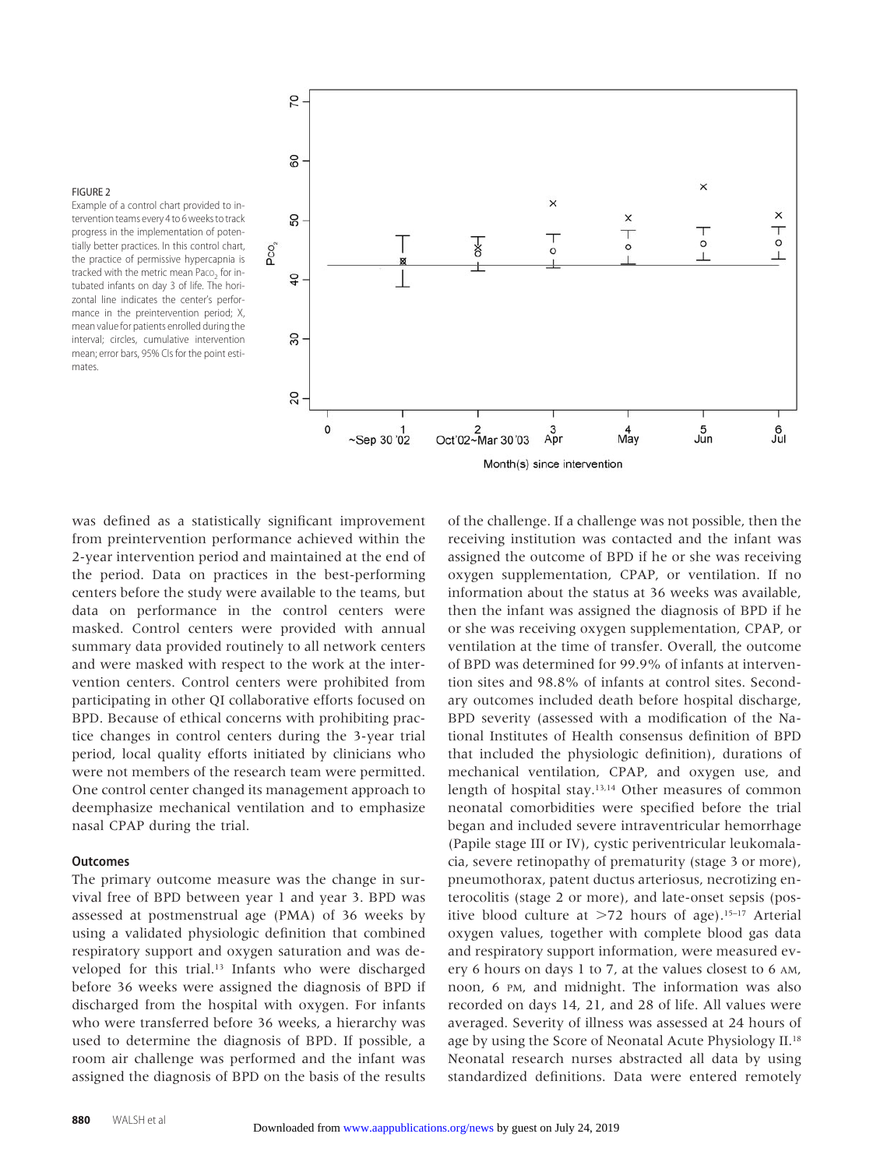#### FIGURE 2

Example of a control chart provided to intervention teams every 4 to 6 weeks to track progress in the implementation of potentially better practices. In this control chart, the practice of permissive hypercapnia is tracked with the metric mean Paco<sub>2</sub> for intubated infants on day 3 of life. The horizontal line indicates the center's performance in the preintervention period; X, mean value for patients enrolled during the interval; circles, cumulative intervention mean; error bars, 95% CIs for the point estimates.



was defined as a statistically significant improvement from preintervention performance achieved within the 2-year intervention period and maintained at the end of the period. Data on practices in the best-performing centers before the study were available to the teams, but data on performance in the control centers were masked. Control centers were provided with annual summary data provided routinely to all network centers and were masked with respect to the work at the intervention centers. Control centers were prohibited from participating in other QI collaborative efforts focused on BPD. Because of ethical concerns with prohibiting practice changes in control centers during the 3-year trial period, local quality efforts initiated by clinicians who were not members of the research team were permitted. One control center changed its management approach to deemphasize mechanical ventilation and to emphasize nasal CPAP during the trial.

# **Outcomes**

The primary outcome measure was the change in survival free of BPD between year 1 and year 3. BPD was assessed at postmenstrual age (PMA) of 36 weeks by using a validated physiologic definition that combined respiratory support and oxygen saturation and was developed for this trial.13 Infants who were discharged before 36 weeks were assigned the diagnosis of BPD if discharged from the hospital with oxygen. For infants who were transferred before 36 weeks, a hierarchy was used to determine the diagnosis of BPD. If possible, a room air challenge was performed and the infant was assigned the diagnosis of BPD on the basis of the results of the challenge. If a challenge was not possible, then the receiving institution was contacted and the infant was assigned the outcome of BPD if he or she was receiving oxygen supplementation, CPAP, or ventilation. If no information about the status at 36 weeks was available, then the infant was assigned the diagnosis of BPD if he or she was receiving oxygen supplementation, CPAP, or ventilation at the time of transfer. Overall, the outcome of BPD was determined for 99.9% of infants at intervention sites and 98.8% of infants at control sites. Secondary outcomes included death before hospital discharge, BPD severity (assessed with a modification of the National Institutes of Health consensus definition of BPD that included the physiologic definition), durations of mechanical ventilation, CPAP, and oxygen use, and length of hospital stay.13,14 Other measures of common neonatal comorbidities were specified before the trial began and included severe intraventricular hemorrhage (Papile stage III or IV), cystic periventricular leukomalacia, severe retinopathy of prematurity (stage 3 or more), pneumothorax, patent ductus arteriosus, necrotizing enterocolitis (stage 2 or more), and late-onset sepsis (positive blood culture at  $>72$  hours of age).<sup>15–17</sup> Arterial oxygen values, together with complete blood gas data and respiratory support information, were measured every 6 hours on days 1 to 7, at the values closest to 6 AM, noon, 6 PM, and midnight. The information was also recorded on days 14, 21, and 28 of life. All values were averaged. Severity of illness was assessed at 24 hours of age by using the Score of Neonatal Acute Physiology II.18 Neonatal research nurses abstracted all data by using standardized definitions. Data were entered remotely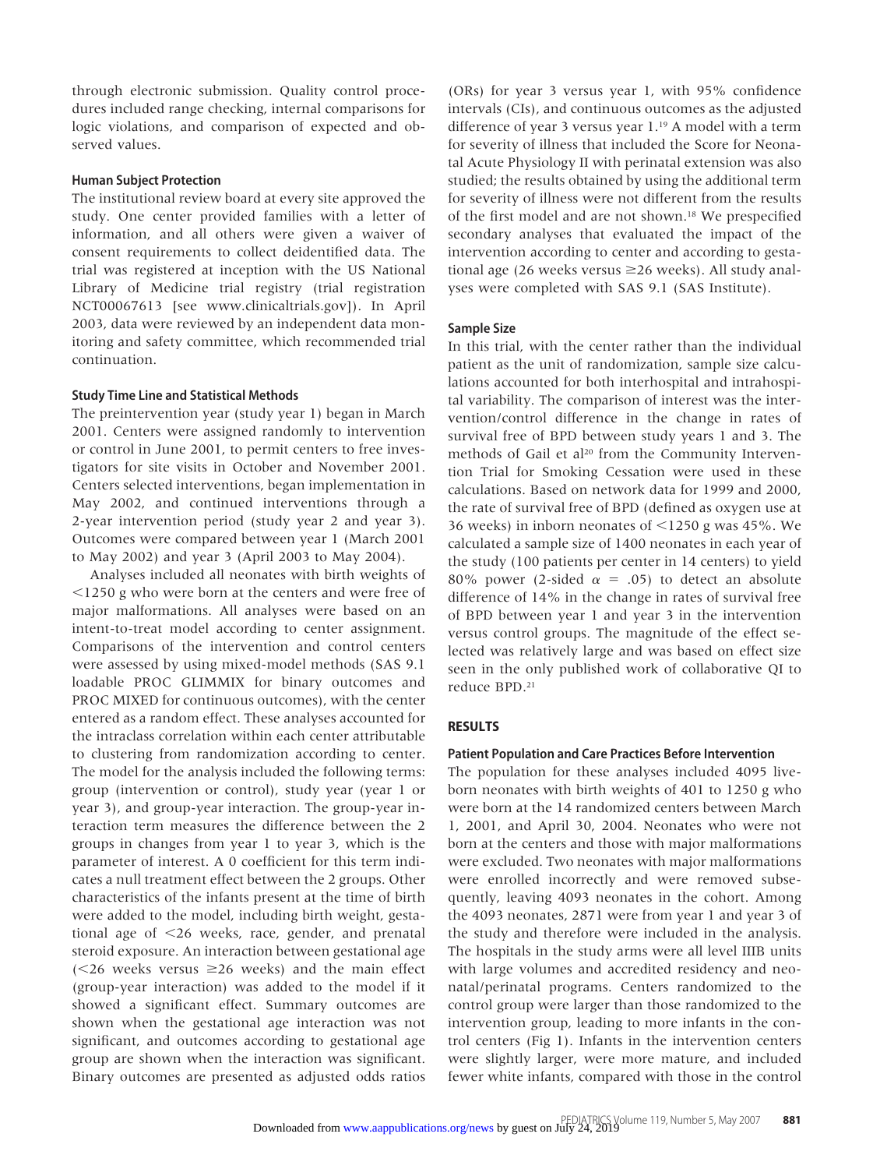through electronic submission. Quality control procedures included range checking, internal comparisons for logic violations, and comparison of expected and observed values.

# **Human Subject Protection**

The institutional review board at every site approved the study. One center provided families with a letter of information, and all others were given a waiver of consent requirements to collect deidentified data. The trial was registered at inception with the US National Library of Medicine trial registry (trial registration NCT00067613 [see www.clinicaltrials.gov]). In April 2003, data were reviewed by an independent data monitoring and safety committee, which recommended trial continuation.

#### **Study Time Line and Statistical Methods**

The preintervention year (study year 1) began in March 2001. Centers were assigned randomly to intervention or control in June 2001, to permit centers to free investigators for site visits in October and November 2001. Centers selected interventions, began implementation in May 2002, and continued interventions through a 2-year intervention period (study year 2 and year 3). Outcomes were compared between year 1 (March 2001 to May 2002) and year 3 (April 2003 to May 2004).

Analyses included all neonates with birth weights of 1250 g who were born at the centers and were free of major malformations. All analyses were based on an intent-to-treat model according to center assignment. Comparisons of the intervention and control centers were assessed by using mixed-model methods (SAS 9.1 loadable PROC GLIMMIX for binary outcomes and PROC MIXED for continuous outcomes), with the center entered as a random effect. These analyses accounted for the intraclass correlation within each center attributable to clustering from randomization according to center. The model for the analysis included the following terms: group (intervention or control), study year (year 1 or year 3), and group-year interaction. The group-year interaction term measures the difference between the 2 groups in changes from year 1 to year 3, which is the parameter of interest. A 0 coefficient for this term indicates a null treatment effect between the 2 groups. Other characteristics of the infants present at the time of birth were added to the model, including birth weight, gestational age of  $\leq$ 26 weeks, race, gender, and prenatal steroid exposure. An interaction between gestational age ( $\leq$ 26 weeks versus  $\geq$ 26 weeks) and the main effect (group-year interaction) was added to the model if it showed a significant effect. Summary outcomes are shown when the gestational age interaction was not significant, and outcomes according to gestational age group are shown when the interaction was significant. Binary outcomes are presented as adjusted odds ratios (ORs) for year 3 versus year 1, with 95% confidence intervals (CIs), and continuous outcomes as the adjusted difference of year 3 versus year 1.<sup>19</sup> A model with a term for severity of illness that included the Score for Neonatal Acute Physiology II with perinatal extension was also studied; the results obtained by using the additional term for severity of illness were not different from the results of the first model and are not shown.18 We prespecified secondary analyses that evaluated the impact of the intervention according to center and according to gestational age (26 weeks versus  $\geq$ 26 weeks). All study analyses were completed with SAS 9.1 (SAS Institute).

## **Sample Size**

In this trial, with the center rather than the individual patient as the unit of randomization, sample size calculations accounted for both interhospital and intrahospital variability. The comparison of interest was the intervention/control difference in the change in rates of survival free of BPD between study years 1 and 3. The methods of Gail et al<sup>20</sup> from the Community Intervention Trial for Smoking Cessation were used in these calculations. Based on network data for 1999 and 2000, the rate of survival free of BPD (defined as oxygen use at 36 weeks) in inborn neonates of  $\leq$ 1250 g was 45%. We calculated a sample size of 1400 neonates in each year of the study (100 patients per center in 14 centers) to yield 80% power (2-sided  $\alpha = .05$ ) to detect an absolute difference of 14% in the change in rates of survival free of BPD between year 1 and year 3 in the intervention versus control groups. The magnitude of the effect selected was relatively large and was based on effect size seen in the only published work of collaborative QI to reduce BPD.21

# **RESULTS**

# **Patient Population and Care Practices Before Intervention**

The population for these analyses included 4095 liveborn neonates with birth weights of 401 to 1250 g who were born at the 14 randomized centers between March 1, 2001, and April 30, 2004. Neonates who were not born at the centers and those with major malformations were excluded. Two neonates with major malformations were enrolled incorrectly and were removed subsequently, leaving 4093 neonates in the cohort. Among the 4093 neonates, 2871 were from year 1 and year 3 of the study and therefore were included in the analysis. The hospitals in the study arms were all level IIIB units with large volumes and accredited residency and neonatal/perinatal programs. Centers randomized to the control group were larger than those randomized to the intervention group, leading to more infants in the control centers (Fig 1). Infants in the intervention centers were slightly larger, were more mature, and included fewer white infants, compared with those in the control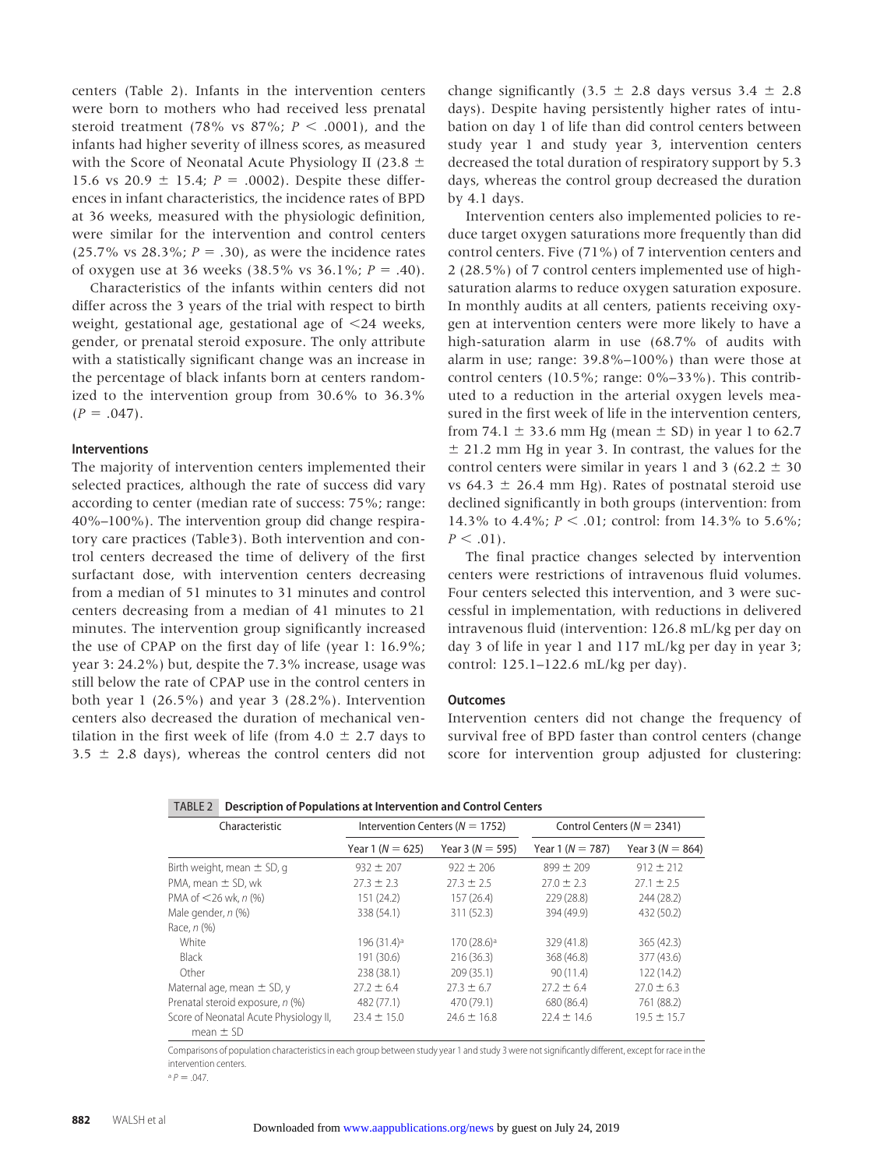centers (Table 2). Infants in the intervention centers were born to mothers who had received less prenatal steroid treatment (78% vs  $87\%$ ;  $P < .0001$ ), and the infants had higher severity of illness scores, as measured with the Score of Neonatal Acute Physiology II (23.8  $\pm$ 15.6 vs 20.9  $\pm$  15.4; *P* = .0002). Despite these differences in infant characteristics, the incidence rates of BPD at 36 weeks, measured with the physiologic definition, were similar for the intervention and control centers  $(25.7\% \text{ vs } 28.3\%; P = .30)$ , as were the incidence rates of oxygen use at 36 weeks  $(38.5\% \text{ vs } 36.1\%; P = .40)$ .

Characteristics of the infants within centers did not differ across the 3 years of the trial with respect to birth weight, gestational age, gestational age of  $\leq$ 24 weeks, gender, or prenatal steroid exposure. The only attribute with a statistically significant change was an increase in the percentage of black infants born at centers randomized to the intervention group from 30.6% to 36.3%  $(P = .047)$ .

#### **Interventions**

The majority of intervention centers implemented their selected practices, although the rate of success did vary according to center (median rate of success: 75%; range: 40%–100%). The intervention group did change respiratory care practices (Table3). Both intervention and control centers decreased the time of delivery of the first surfactant dose, with intervention centers decreasing from a median of 51 minutes to 31 minutes and control centers decreasing from a median of 41 minutes to 21 minutes. The intervention group significantly increased the use of CPAP on the first day of life (year 1: 16.9%; year 3: 24.2%) but, despite the 7.3% increase, usage was still below the rate of CPAP use in the control centers in both year 1 (26.5%) and year 3 (28.2%). Intervention centers also decreased the duration of mechanical ventilation in the first week of life (from  $4.0 \pm 2.7$  days to  $3.5 \pm 2.8$  days), whereas the control centers did not change significantly (3.5  $\pm$  2.8 days versus 3.4  $\pm$  2.8 days). Despite having persistently higher rates of intubation on day 1 of life than did control centers between study year 1 and study year 3, intervention centers decreased the total duration of respiratory support by 5.3 days, whereas the control group decreased the duration by 4.1 days.

Intervention centers also implemented policies to reduce target oxygen saturations more frequently than did control centers. Five (71%) of 7 intervention centers and 2 (28.5%) of 7 control centers implemented use of highsaturation alarms to reduce oxygen saturation exposure. In monthly audits at all centers, patients receiving oxygen at intervention centers were more likely to have a high-saturation alarm in use (68.7% of audits with alarm in use; range: 39.8%–100%) than were those at control centers (10.5%; range: 0%–33%). This contributed to a reduction in the arterial oxygen levels measured in the first week of life in the intervention centers, from 74.1  $\pm$  33.6 mm Hg (mean  $\pm$  SD) in year 1 to 62.7  $\pm$  21.2 mm Hg in year 3. In contrast, the values for the control centers were similar in years 1 and 3 (62.2  $\pm$  30 vs 64.3  $\pm$  26.4 mm Hg). Rates of postnatal steroid use declined significantly in both groups (intervention: from 14.3% to 4.4%;  $P \le 0.01$ ; control: from 14.3% to 5.6%;  $P < .01$ ).

The final practice changes selected by intervention centers were restrictions of intravenous fluid volumes. Four centers selected this intervention, and 3 were successful in implementation, with reductions in delivered intravenous fluid (intervention: 126.8 mL/kg per day on day 3 of life in year 1 and 117 mL/kg per day in year 3; control: 125.1–122.6 mL/kg per day).

#### **Outcomes**

Intervention centers did not change the frequency of survival free of BPD faster than control centers (change score for intervention group adjusted for clustering:

|  | TABLE 2 Description of Populations at Intervention and Control Centers |
|--|------------------------------------------------------------------------|
|--|------------------------------------------------------------------------|

| Characteristic                                          |                         | Intervention Centers ( $N = 1752$ ) | Control Centers ( $N = 2341$ ) |                      |  |
|---------------------------------------------------------|-------------------------|-------------------------------------|--------------------------------|----------------------|--|
|                                                         | Year 1 ( $N = 625$ )    | Year 3 ( $N = 595$ )                | Year 1 $(N = 787)$             | Year 3 ( $N = 864$ ) |  |
| Birth weight, mean $\pm$ SD, g                          | $932 \pm 207$           | $922 \pm 206$                       | $899 \pm 209$                  | $912 \pm 212$        |  |
| PMA, mean $\pm$ SD, wk                                  | $27.3 \pm 2.3$          | $27.3 \pm 2.5$                      | $27.0 \pm 2.3$                 | $27.1 \pm 2.5$       |  |
| PMA of $<$ 26 wk, n $\left(\% \right)$                  | 151 (24.2)              | 157(26.4)                           | 229 (28.8)                     | 244 (28.2)           |  |
| Male gender, n (%)                                      | 338 (54.1)              | 311 (52.3)                          | 394 (49.9)                     | 432 (50.2)           |  |
| Race, <i>n</i> (%)                                      |                         |                                     |                                |                      |  |
| White                                                   | 196 (31.4) <sup>a</sup> | 170 (28.6) <sup>a</sup>             | 329 (41.8)                     | 365(42.3)            |  |
| <b>Black</b>                                            | 191 (30.6)              | 216(36.3)                           | 368 (46.8)                     | 377 (43.6)           |  |
| Other                                                   | 238 (38.1)              | 209(35.1)                           | 90(11.4)                       | 122(14.2)            |  |
| Maternal age, mean $\pm$ SD, y                          | $27.2 \pm 6.4$          | $27.3 \pm 6.7$                      | $27.2 \pm 6.4$                 | $27.0 \pm 6.3$       |  |
| Prenatal steroid exposure, n (%)                        | 482 (77.1)              | 470 (79.1)                          | 680 (86.4)                     | 761 (88.2)           |  |
| Score of Neonatal Acute Physiology II,<br>mean $\pm$ SD | $23.4 \pm 15.0$         | $24.6 \pm 16.8$                     | $22.4 \pm 14.6$                | $19.5 \pm 15.7$      |  |

Comparisons of population characteristics in each group between study year 1 and study 3 were not significantly different, except for race in the intervention centers.

 $P = .047$ .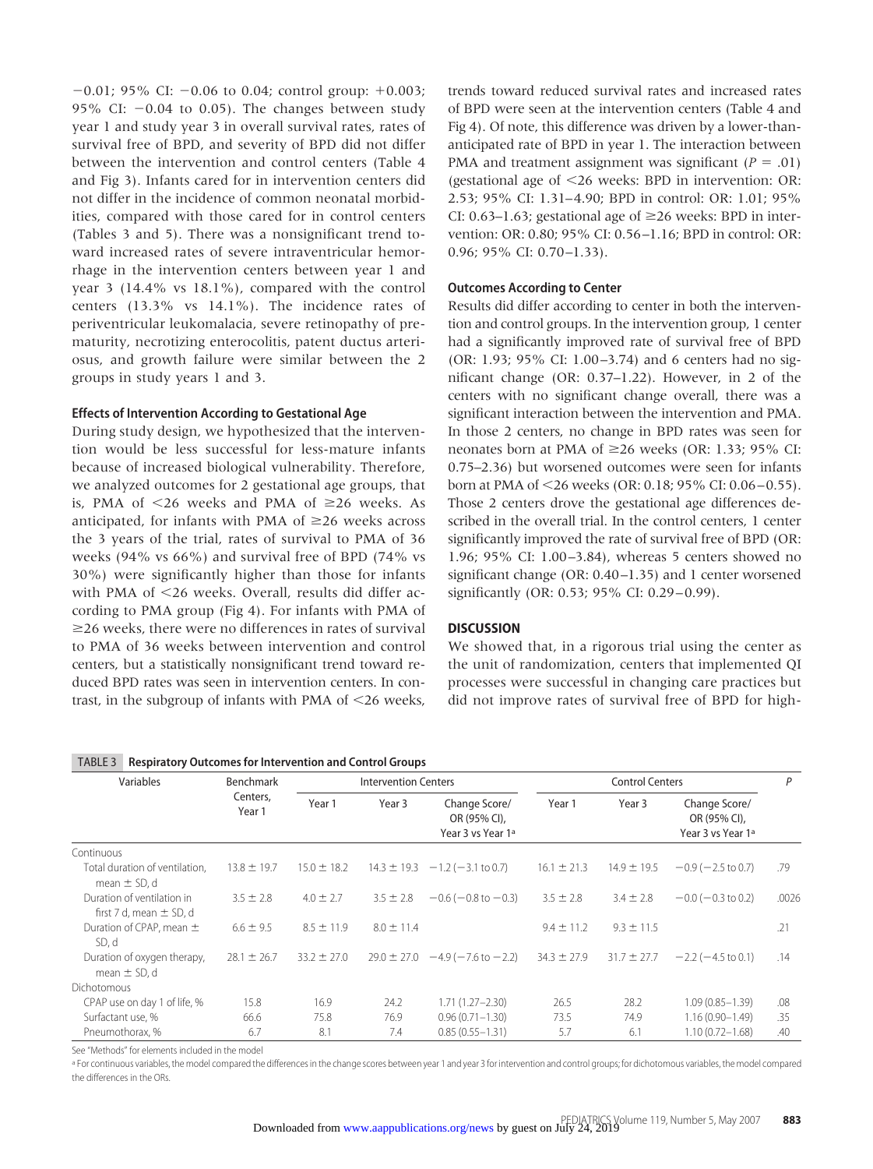$-0.01$ ; 95% CI:  $-0.06$  to 0.04; control group:  $+0.003$ ; 95% CI:  $-0.04$  to 0.05). The changes between study year 1 and study year 3 in overall survival rates, rates of survival free of BPD, and severity of BPD did not differ between the intervention and control centers (Table 4 and Fig 3). Infants cared for in intervention centers did not differ in the incidence of common neonatal morbidities, compared with those cared for in control centers (Tables 3 and 5). There was a nonsignificant trend toward increased rates of severe intraventricular hemorrhage in the intervention centers between year 1 and year 3 (14.4% vs 18.1%), compared with the control centers (13.3% vs 14.1%). The incidence rates of periventricular leukomalacia, severe retinopathy of prematurity, necrotizing enterocolitis, patent ductus arteriosus, and growth failure were similar between the 2 groups in study years 1 and 3.

# **Effects of Intervention According to Gestational Age**

During study design, we hypothesized that the intervention would be less successful for less-mature infants because of increased biological vulnerability. Therefore, we analyzed outcomes for 2 gestational age groups, that is, PMA of  $\leq$ 26 weeks and PMA of  $\geq$ 26 weeks. As anticipated, for infants with PMA of  $\geq 26$  weeks across the 3 years of the trial, rates of survival to PMA of 36 weeks (94% vs 66%) and survival free of BPD (74% vs 30%) were significantly higher than those for infants with PMA of <26 weeks. Overall, results did differ according to PMA group (Fig 4). For infants with PMA of  $\geq$ 26 weeks, there were no differences in rates of survival to PMA of 36 weeks between intervention and control centers, but a statistically nonsignificant trend toward reduced BPD rates was seen in intervention centers. In contrast, in the subgroup of infants with PMA of  $\leq$ 26 weeks,

TABLE 3 **Respiratory Outcomes for Intervention and Control Groups**

trends toward reduced survival rates and increased rates of BPD were seen at the intervention centers (Table 4 and Fig 4). Of note, this difference was driven by a lower-thananticipated rate of BPD in year 1. The interaction between PMA and treatment assignment was significant  $(P = .01)$ (gestational age of  $\leq$ 26 weeks: BPD in intervention: OR: 2.53; 95% CI: 1.31–4.90; BPD in control: OR: 1.01; 95% CI: 0.63–1.63; gestational age of  $\geq$ 26 weeks: BPD in intervention: OR: 0.80; 95% CI: 0.56 –1.16; BPD in control: OR: 0.96; 95% CI: 0.70-1.33).

#### **Outcomes According to Center**

Results did differ according to center in both the intervention and control groups. In the intervention group, 1 center had a significantly improved rate of survival free of BPD (OR: 1.93; 95% CI: 1.00 –3.74) and 6 centers had no significant change (OR: 0.37–1.22). However, in 2 of the centers with no significant change overall, there was a significant interaction between the intervention and PMA. In those 2 centers, no change in BPD rates was seen for neonates born at PMA of  $\geq$ 26 weeks (OR: 1.33; 95% CI: 0.75–2.36) but worsened outcomes were seen for infants born at PMA of 26 weeks (OR: 0.18; 95% CI: 0.06 –0.55). Those 2 centers drove the gestational age differences described in the overall trial. In the control centers, 1 center significantly improved the rate of survival free of BPD (OR: 1.96; 95% CI: 1.00 –3.84), whereas 5 centers showed no significant change (OR: 0.40 –1.35) and 1 center worsened significantly (OR: 0.53; 95% CI: 0.29-0.99).

#### **DISCUSSION**

We showed that, in a rigorous trial using the center as the unit of randomization, centers that implemented QI processes were successful in changing care practices but did not improve rates of survival free of BPD for high-

| Variables                                                 | Benchmark          |                 | <b>Intervention Centers</b> |                                                                | <b>Control Centers</b> |                 |                                                                |       |  |
|-----------------------------------------------------------|--------------------|-----------------|-----------------------------|----------------------------------------------------------------|------------------------|-----------------|----------------------------------------------------------------|-------|--|
|                                                           | Centers,<br>Year 1 | Year 1          | Year <sub>3</sub>           | Change Score/<br>OR (95% CI),<br>Year 3 vs Year 1 <sup>a</sup> | Year 1                 | Year 3          | Change Score/<br>OR (95% CI),<br>Year 3 vs Year 1 <sup>a</sup> |       |  |
| Continuous                                                |                    |                 |                             |                                                                |                        |                 |                                                                |       |  |
| Total duration of ventilation,<br>mean $\pm$ SD, d        | $13.8 \pm 19.7$    | $15.0 \pm 18.2$ |                             | $14.3 \pm 19.3 -1.2(-3.1 \text{ to } 0.7)$                     | $16.1 \pm 21.3$        | $14.9 \pm 19.5$ | $-0.9$ ( $-2.5$ to 0.7)                                        | .79   |  |
| Duration of ventilation in<br>first 7 d, mean $\pm$ SD, d | $3.5 \pm 2.8$      | $4.0 \pm 2.7$   | $3.5 \pm 2.8$               | $-0.6(-0.8$ to $-0.3)$                                         | $3.5 \pm 2.8$          | $3.4 \pm 2.8$   | $-0.0$ ( $-0.3$ to 0.2)                                        | .0026 |  |
| Duration of CPAP, mean $\pm$<br>SD, d                     | $6.6 \pm 9.5$      | $8.5 \pm 11.9$  | $8.0 \pm 11.4$              |                                                                | $9.4 \pm 11.2$         | $9.3 \pm 11.5$  |                                                                | .21   |  |
| Duration of oxygen therapy,<br>mean $\pm$ SD, d           | $28.1 \pm 26.7$    | $33.2 \pm 27.0$ | $29.0 \pm 27.0$             | $-4.9(-7.6 \text{ to } -2.2)$                                  | $34.3 \pm 27.9$        | $31.7 \pm 27.7$ | $-2.2$ ( $-4.5$ to 0.1)                                        | .14   |  |
| Dichotomous                                               |                    |                 |                             |                                                                |                        |                 |                                                                |       |  |
| CPAP use on day 1 of life, %                              | 15.8               | 16.9            | 24.2                        | $1.71(1.27 - 2.30)$                                            | 26.5                   | 28.2            | $1.09(0.85 - 1.39)$                                            | .08   |  |
| Surfactant use, %                                         | 66.6               | 75.8            | 76.9                        | $0.96(0.71 - 1.30)$                                            | 73.5                   | 74.9            | $1.16(0.90 - 1.49)$                                            | .35   |  |
| Pneumothorax, %                                           | 6.7                | 8.1             | 7.4                         | $0.85(0.55 - 1.31)$                                            | 5.7                    | 6.1             | $1.10(0.72 - 1.68)$                                            | .40   |  |

See "Methods" for elements included in the model

a For continuous variables, the model compared the differences in the change scores between year 1 and year 3 for intervention and control groups; for dichotomous variables, the model compared the differences in the ORs.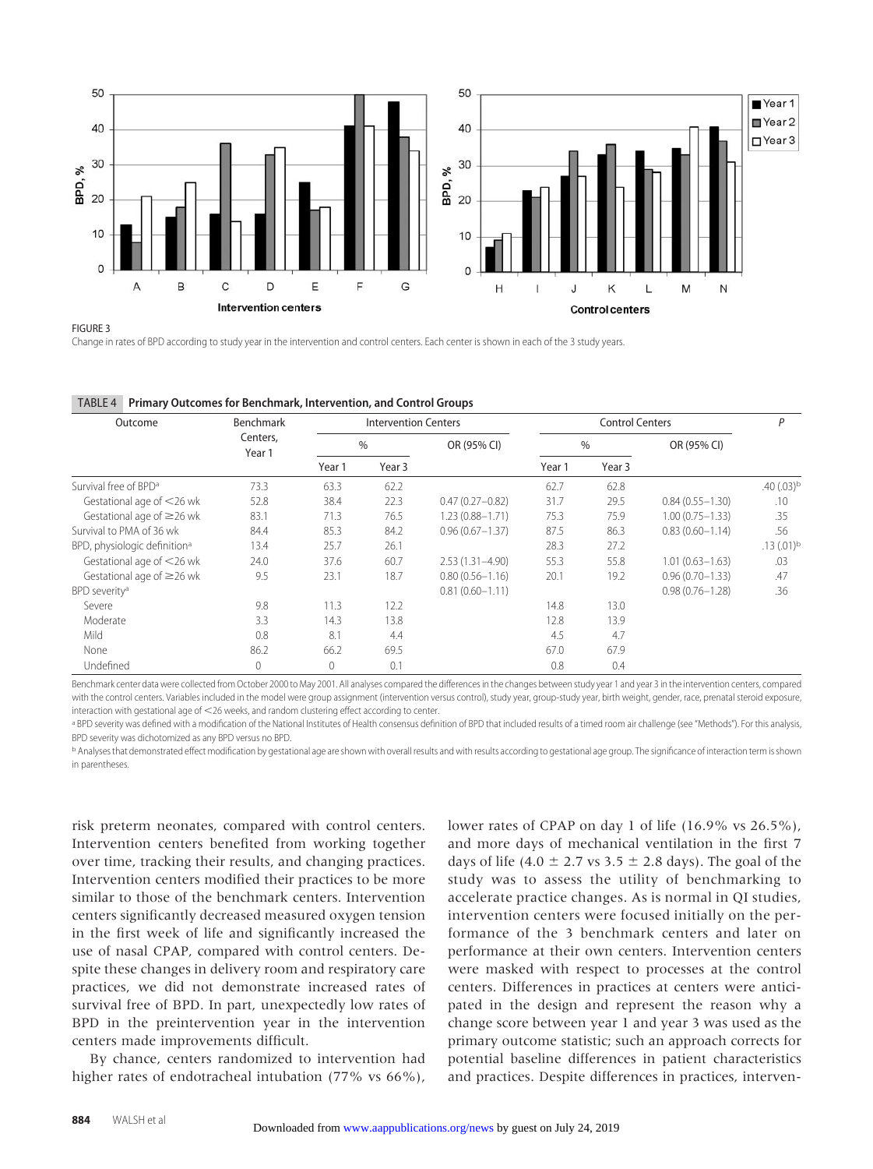

FIGURE 3

Change in rates of BPD according to study year in the intervention and control centers. Each center is shown in each of the 3 study years.

|  | TABLE 4 Primary Outcomes for Benchmark, Intervention, and Control Groups |
|--|--------------------------------------------------------------------------|
|  |                                                                          |

| Outcome                                  | <b>Benchmark</b>   | <b>Intervention Centers</b> |                   |                     |        | P                 |                     |                          |
|------------------------------------------|--------------------|-----------------------------|-------------------|---------------------|--------|-------------------|---------------------|--------------------------|
|                                          | Centers,<br>Year 1 | $\%$                        |                   | OR (95% CI)         | $\%$   |                   | OR (95% CI)         |                          |
|                                          |                    | Year 1                      | Year <sub>3</sub> |                     | Year 1 | Year <sub>3</sub> |                     |                          |
| Survival free of BPD <sup>a</sup>        | 73.3               | 63.3                        | 62.2              |                     | 62.7   | 62.8              |                     | $.40(0.03)$ <sup>b</sup> |
| Gestational age of $<$ 26 wk             | 52.8               | 38.4                        | 22.3              | $0.47(0.27 - 0.82)$ | 31.7   | 29.5              | $0.84(0.55 - 1.30)$ | .10                      |
| Gestational age of $\geq$ 26 wk          | 83.1               | 71.3                        | 76.5              | $1.23(0.88 - 1.71)$ | 75.3   | 75.9              | $1.00(0.75 - 1.33)$ | .35                      |
| Survival to PMA of 36 wk                 | 84.4               | 85.3                        | 84.2              | $0.96(0.67 - 1.37)$ | 87.5   | 86.3              | $0.83(0.60 - 1.14)$ | .56                      |
| BPD, physiologic definition <sup>a</sup> | 13.4               | 25.7                        | 26.1              |                     | 28.3   | 27.2              |                     | .13(01) <sup>b</sup>     |
| Gestational age of $<$ 26 wk             | 24.0               | 37.6                        | 60.7              | $2.53(1.31 - 4.90)$ | 55.3   | 55.8              | $1.01(0.63 - 1.63)$ | .03                      |
| Gestational age of $\geq$ 26 wk          | 9.5                | 23.1                        | 18.7              | $0.80(0.56 - 1.16)$ | 20.1   | 19.2              | $0.96(0.70 - 1.33)$ | .47                      |
| BPD severity <sup>a</sup>                |                    |                             |                   | $0.81(0.60 - 1.11)$ |        |                   | $0.98(0.76 - 1.28)$ | .36                      |
| Severe                                   | 9.8                | 11.3                        | 12.2              |                     | 14.8   | 13.0              |                     |                          |
| Moderate                                 | 3.3                | 14.3                        | 13.8              |                     | 12.8   | 13.9              |                     |                          |
| Mild                                     | 0.8                | 8.1                         | 4.4               |                     | 4.5    | 4.7               |                     |                          |
| None                                     | 86.2               | 66.2                        | 69.5              |                     | 67.0   | 67.9              |                     |                          |
| Undefined                                | 0                  | 0                           | 0.1               |                     | 0.8    | 0.4               |                     |                          |

Benchmark center data were collected from October 2000 to May 2001. All analyses compared the differences in the changes between study year 1 and year 3 in the intervention centers, compared with the control centers. Variables included in the model were group assignment (intervention versus control), study year, group-study year, birth weight, gender, race, prenatal steroid exposure, interaction with gestational age of  $<$  26 weeks, and random clustering effect according to center.

a BPD severity was defined with a modification of the National Institutes of Health consensus definition of BPD that included results of a timed room air challenge (see "Methods"). For this analysis, BPD severity was dichotomized as any BPD versus no BPD.

b Analyses that demonstrated effect modification by gestational age are shown with overall results and with results according to gestational age group. The significance of interaction term is shown in parentheses.

risk preterm neonates, compared with control centers. Intervention centers benefited from working together over time, tracking their results, and changing practices. Intervention centers modified their practices to be more similar to those of the benchmark centers. Intervention centers significantly decreased measured oxygen tension in the first week of life and significantly increased the use of nasal CPAP, compared with control centers. Despite these changes in delivery room and respiratory care practices, we did not demonstrate increased rates of survival free of BPD. In part, unexpectedly low rates of BPD in the preintervention year in the intervention centers made improvements difficult.

By chance, centers randomized to intervention had higher rates of endotracheal intubation (77% vs 66%),

lower rates of CPAP on day 1 of life (16.9% vs 26.5%), and more days of mechanical ventilation in the first 7 days of life (4.0  $\pm$  2.7 vs 3.5  $\pm$  2.8 days). The goal of the study was to assess the utility of benchmarking to accelerate practice changes. As is normal in QI studies, intervention centers were focused initially on the performance of the 3 benchmark centers and later on performance at their own centers. Intervention centers were masked with respect to processes at the control centers. Differences in practices at centers were anticipated in the design and represent the reason why a change score between year 1 and year 3 was used as the primary outcome statistic; such an approach corrects for potential baseline differences in patient characteristics and practices. Despite differences in practices, interven-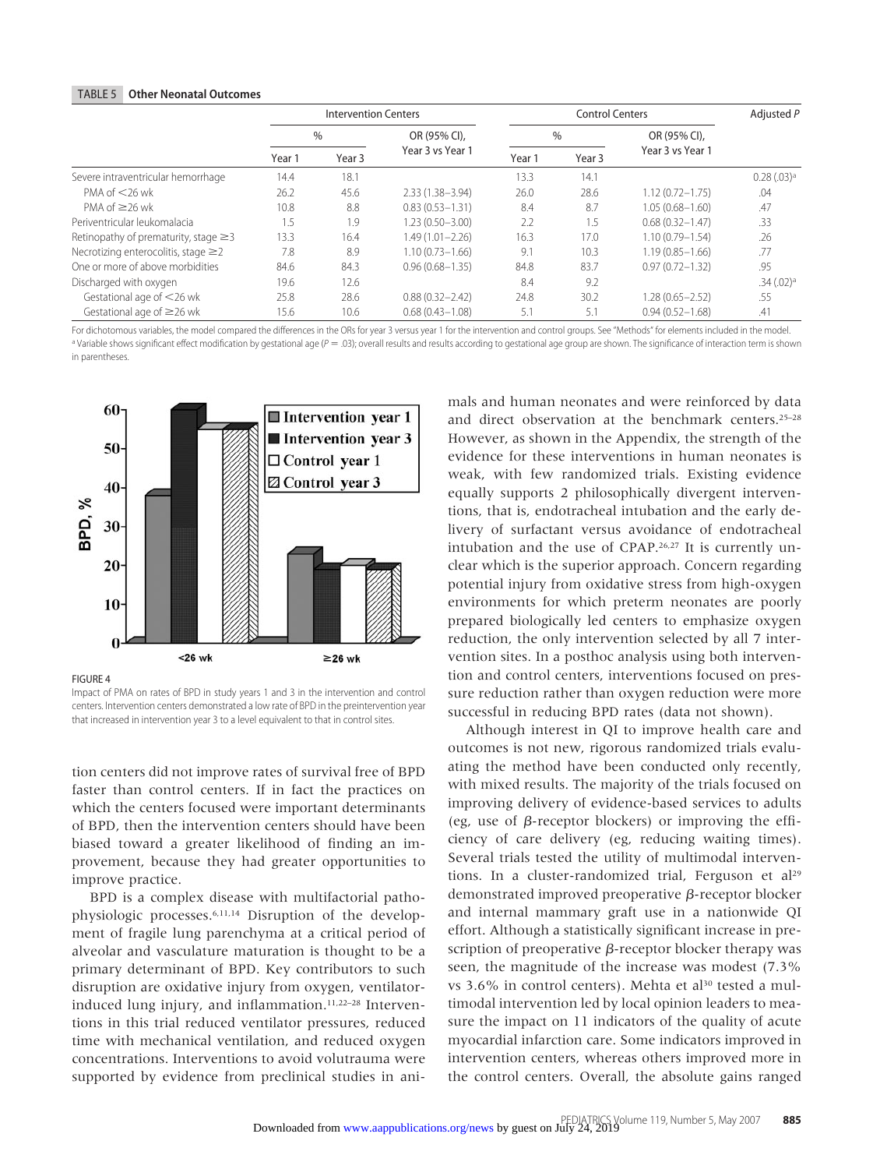#### TABLE 5 **Other Neonatal Outcomes**

|                                            |        | <b>Intervention Centers</b> |                     |        | Adjusted $P$ |                     |                         |
|--------------------------------------------|--------|-----------------------------|---------------------|--------|--------------|---------------------|-------------------------|
|                                            | %      |                             | OR (95% CI),        | $\%$   |              | OR (95% CI),        |                         |
|                                            | Year 1 | Year 3                      | Year 3 vs Year 1    | Year 1 | Year 3       | Year 3 vs Year 1    |                         |
| Severe intraventricular hemorrhage         | 14.4   | 18.1                        |                     | 13.3   | 14.1         |                     | $0.28$ $(.03)a$         |
| PMA of $<$ 26 wk                           | 26.2   | 45.6                        | $2.33(1.38 - 3.94)$ | 26.0   | 28.6         | $1.12(0.72 - 1.75)$ | .04                     |
| PMA of $\geq$ 26 wk                        | 10.8   | 8.8                         | $0.83(0.53 - 1.31)$ | 8.4    | 8.7          | $1.05(0.68 - 1.60)$ | .47                     |
| Periventricular leukomalacia               | 1.5    | 1.9                         | $1.23(0.50 - 3.00)$ | 2.2    | 1.5          | $0.68(0.32 - 1.47)$ | .33                     |
| Retinopathy of prematurity, stage $\geq$ 3 | 13.3   | 16.4                        | $1.49(1.01 - 2.26)$ | 16.3   | 17.0         | $1.10(0.79 - 1.54)$ | .26                     |
| Necrotizing enterocolitis, stage $\geq$ 2  | 7.8    | 8.9                         | $1.10(0.73 - 1.66)$ | 9.1    | 10.3         | $1.19(0.85 - 1.66)$ | .77                     |
| One or more of above morbidities           | 84.6   | 84.3                        | $0.96(0.68 - 1.35)$ | 84.8   | 83.7         | $0.97(0.72 - 1.32)$ | .95                     |
| Discharged with oxygen                     | 19.6   | 12.6                        |                     | 8.4    | 9.2          |                     | $.34(.02)$ <sup>a</sup> |
| Gestational age of $<$ 26 wk               | 25.8   | 28.6                        | $0.88(0.32 - 2.42)$ | 24.8   | 30.2         | $1.28(0.65 - 2.52)$ | .55                     |
| Gestational age of $\geq$ 26 wk            | 15.6   | 10.6                        | $0.68(0.43 - 1.08)$ | 5.1    | 5.1          | $0.94(0.52 - 1.68)$ | .41                     |

For dichotomous variables, the model compared the differences in the ORs for year 3 versus year 1 for the intervention and control groups. See "Methods" for elements included in the model. a Variable shows significant effect modification by gestational age ( $P = .03$ ); overall results and results according to gestational age group are shown. The significance of interaction term is shown in parentheses.



Impact of PMA on rates of BPD in study years 1 and 3 in the intervention and control centers. Intervention centers demonstrated a low rate of BPD in the preintervention year that increased in intervention year 3 to a level equivalent to that in control sites.

tion centers did not improve rates of survival free of BPD faster than control centers. If in fact the practices on which the centers focused were important determinants of BPD, then the intervention centers should have been biased toward a greater likelihood of finding an improvement, because they had greater opportunities to improve practice.

BPD is a complex disease with multifactorial pathophysiologic processes.6,11,14 Disruption of the development of fragile lung parenchyma at a critical period of alveolar and vasculature maturation is thought to be a primary determinant of BPD. Key contributors to such disruption are oxidative injury from oxygen, ventilatorinduced lung injury, and inflammation.<sup>11,22-28</sup> Interventions in this trial reduced ventilator pressures, reduced time with mechanical ventilation, and reduced oxygen concentrations. Interventions to avoid volutrauma were supported by evidence from preclinical studies in animals and human neonates and were reinforced by data and direct observation at the benchmark centers.25–28 However, as shown in the Appendix, the strength of the evidence for these interventions in human neonates is weak, with few randomized trials. Existing evidence equally supports 2 philosophically divergent interventions, that is, endotracheal intubation and the early delivery of surfactant versus avoidance of endotracheal intubation and the use of CPAP.26,27 It is currently unclear which is the superior approach. Concern regarding potential injury from oxidative stress from high-oxygen environments for which preterm neonates are poorly prepared biologically led centers to emphasize oxygen reduction, the only intervention selected by all 7 intervention sites. In a posthoc analysis using both intervention and control centers, interventions focused on pressure reduction rather than oxygen reduction were more successful in reducing BPD rates (data not shown).

Although interest in QI to improve health care and outcomes is not new, rigorous randomized trials evaluating the method have been conducted only recently, with mixed results. The majority of the trials focused on improving delivery of evidence-based services to adults (eg, use of  $\beta$ -receptor blockers) or improving the efficiency of care delivery (eg, reducing waiting times). Several trials tested the utility of multimodal interventions. In a cluster-randomized trial, Ferguson et al<sup>29</sup> demonstrated improved preoperative  $\beta$ -receptor blocker and internal mammary graft use in a nationwide QI effort. Although a statistically significant increase in prescription of preoperative  $\beta$ -receptor blocker therapy was seen, the magnitude of the increase was modest (7.3% vs  $3.6\%$  in control centers). Mehta et al<sup>30</sup> tested a multimodal intervention led by local opinion leaders to measure the impact on 11 indicators of the quality of acute myocardial infarction care. Some indicators improved in intervention centers, whereas others improved more in the control centers. Overall, the absolute gains ranged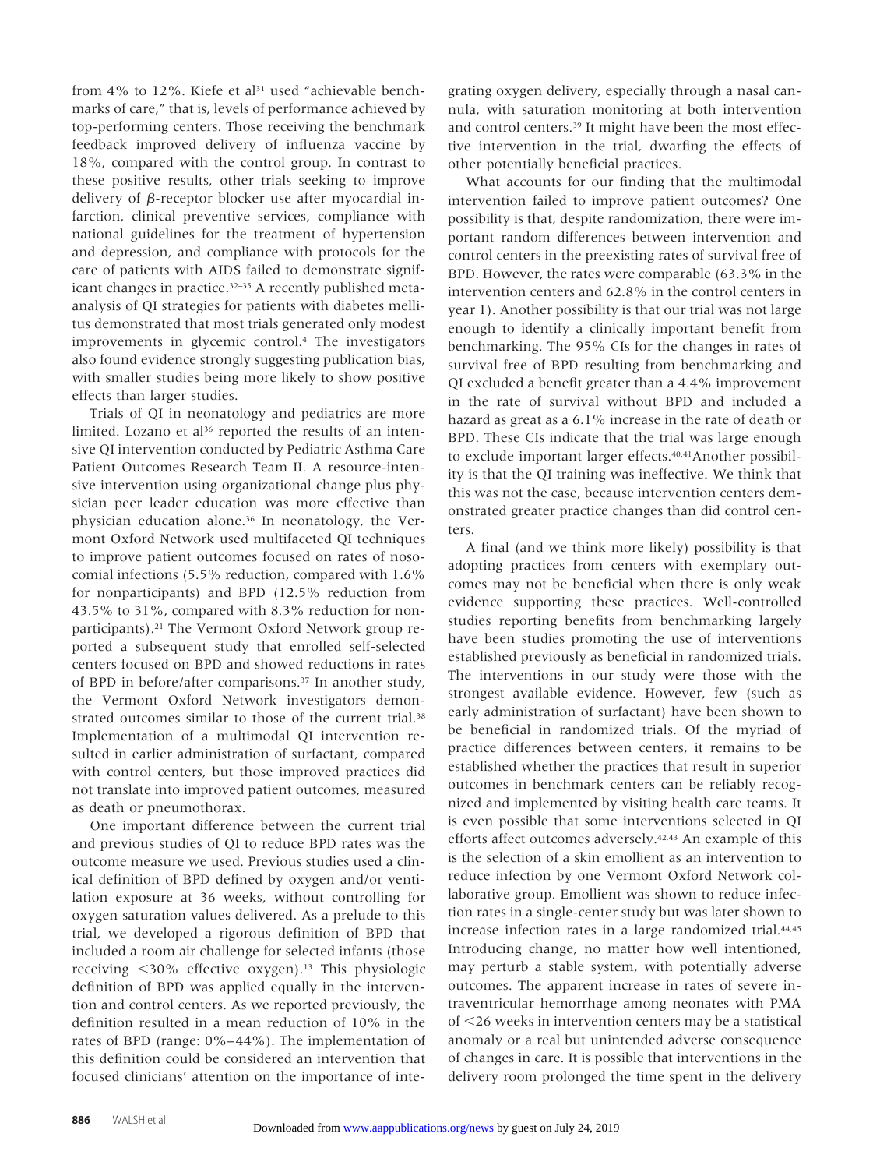from  $4\%$  to  $12\%$ . Kiefe et al<sup>31</sup> used "achievable benchmarks of care," that is, levels of performance achieved by top-performing centers. Those receiving the benchmark feedback improved delivery of influenza vaccine by 18%, compared with the control group. In contrast to these positive results, other trials seeking to improve delivery of  $\beta$ -receptor blocker use after myocardial infarction, clinical preventive services, compliance with national guidelines for the treatment of hypertension and depression, and compliance with protocols for the care of patients with AIDS failed to demonstrate significant changes in practice.<sup>32–35</sup> A recently published metaanalysis of QI strategies for patients with diabetes mellitus demonstrated that most trials generated only modest improvements in glycemic control.4 The investigators also found evidence strongly suggesting publication bias, with smaller studies being more likely to show positive effects than larger studies.

Trials of QI in neonatology and pediatrics are more limited. Lozano et al<sup>36</sup> reported the results of an intensive QI intervention conducted by Pediatric Asthma Care Patient Outcomes Research Team II. A resource-intensive intervention using organizational change plus physician peer leader education was more effective than physician education alone.36 In neonatology, the Vermont Oxford Network used multifaceted QI techniques to improve patient outcomes focused on rates of nosocomial infections (5.5% reduction, compared with 1.6% for nonparticipants) and BPD (12.5% reduction from 43.5% to 31%, compared with 8.3% reduction for nonparticipants).21 The Vermont Oxford Network group reported a subsequent study that enrolled self-selected centers focused on BPD and showed reductions in rates of BPD in before/after comparisons.37 In another study, the Vermont Oxford Network investigators demonstrated outcomes similar to those of the current trial.<sup>38</sup> Implementation of a multimodal QI intervention resulted in earlier administration of surfactant, compared with control centers, but those improved practices did not translate into improved patient outcomes, measured as death or pneumothorax.

One important difference between the current trial and previous studies of QI to reduce BPD rates was the outcome measure we used. Previous studies used a clinical definition of BPD defined by oxygen and/or ventilation exposure at 36 weeks, without controlling for oxygen saturation values delivered. As a prelude to this trial, we developed a rigorous definition of BPD that included a room air challenge for selected infants (those receiving 30% effective oxygen).13 This physiologic definition of BPD was applied equally in the intervention and control centers. As we reported previously, the definition resulted in a mean reduction of 10% in the rates of BPD (range: 0%– 44%). The implementation of this definition could be considered an intervention that focused clinicians' attention on the importance of integrating oxygen delivery, especially through a nasal cannula, with saturation monitoring at both intervention and control centers.<sup>39</sup> It might have been the most effective intervention in the trial, dwarfing the effects of other potentially beneficial practices.

What accounts for our finding that the multimodal intervention failed to improve patient outcomes? One possibility is that, despite randomization, there were important random differences between intervention and control centers in the preexisting rates of survival free of BPD. However, the rates were comparable (63.3% in the intervention centers and 62.8% in the control centers in year 1). Another possibility is that our trial was not large enough to identify a clinically important benefit from benchmarking. The 95% CIs for the changes in rates of survival free of BPD resulting from benchmarking and QI excluded a benefit greater than a 4.4% improvement in the rate of survival without BPD and included a hazard as great as a 6.1% increase in the rate of death or BPD. These CIs indicate that the trial was large enough to exclude important larger effects.40,41Another possibility is that the QI training was ineffective. We think that this was not the case, because intervention centers demonstrated greater practice changes than did control centers.

A final (and we think more likely) possibility is that adopting practices from centers with exemplary outcomes may not be beneficial when there is only weak evidence supporting these practices. Well-controlled studies reporting benefits from benchmarking largely have been studies promoting the use of interventions established previously as beneficial in randomized trials. The interventions in our study were those with the strongest available evidence. However, few (such as early administration of surfactant) have been shown to be beneficial in randomized trials. Of the myriad of practice differences between centers, it remains to be established whether the practices that result in superior outcomes in benchmark centers can be reliably recognized and implemented by visiting health care teams. It is even possible that some interventions selected in QI efforts affect outcomes adversely.42,43 An example of this is the selection of a skin emollient as an intervention to reduce infection by one Vermont Oxford Network collaborative group. Emollient was shown to reduce infection rates in a single-center study but was later shown to increase infection rates in a large randomized trial.44,45 Introducing change, no matter how well intentioned, may perturb a stable system, with potentially adverse outcomes. The apparent increase in rates of severe intraventricular hemorrhage among neonates with PMA of 26 weeks in intervention centers may be a statistical anomaly or a real but unintended adverse consequence of changes in care. It is possible that interventions in the delivery room prolonged the time spent in the delivery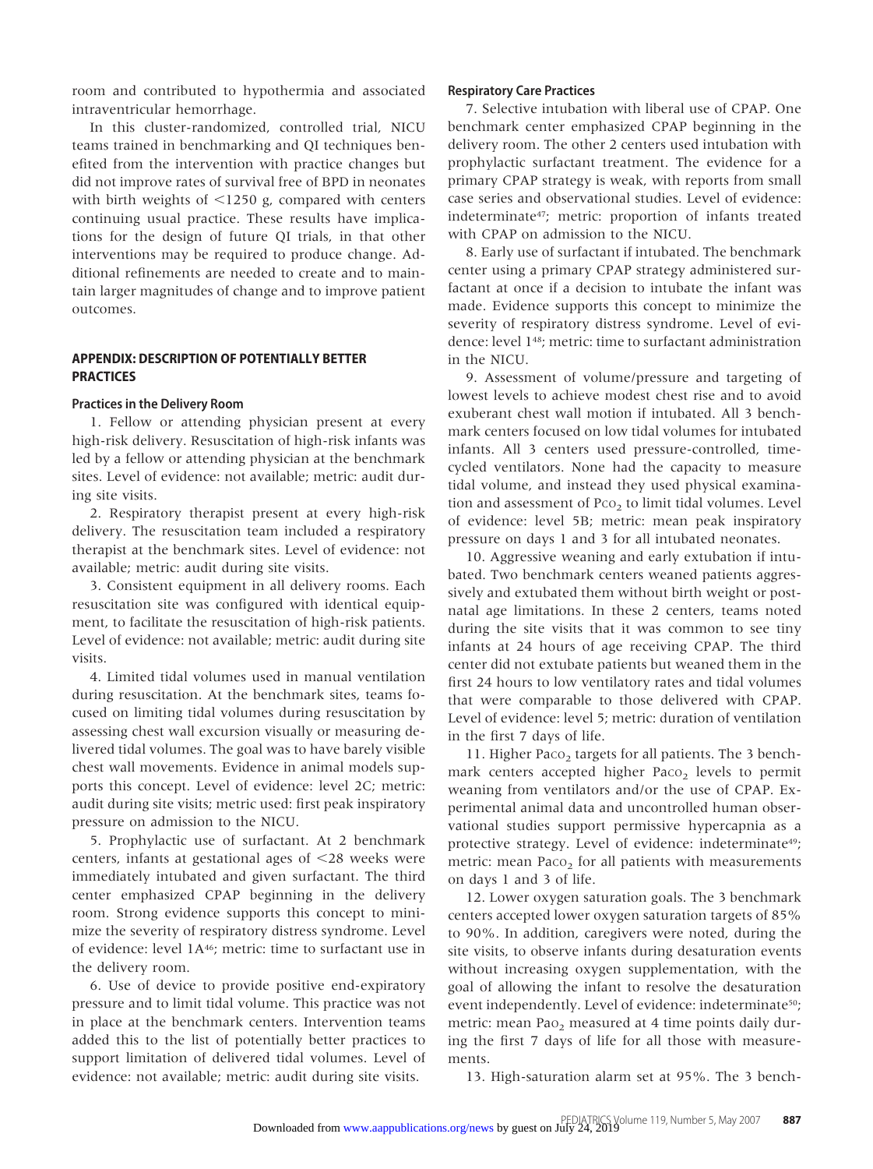room and contributed to hypothermia and associated intraventricular hemorrhage.

In this cluster-randomized, controlled trial, NICU teams trained in benchmarking and QI techniques benefited from the intervention with practice changes but did not improve rates of survival free of BPD in neonates with birth weights of  $\leq$ 1250 g, compared with centers continuing usual practice. These results have implications for the design of future QI trials, in that other interventions may be required to produce change. Additional refinements are needed to create and to maintain larger magnitudes of change and to improve patient outcomes.

# **APPENDIX: DESCRIPTION OF POTENTIALLY BETTER PRACTICES**

#### **Practices in the Delivery Room**

1. Fellow or attending physician present at every high-risk delivery. Resuscitation of high-risk infants was led by a fellow or attending physician at the benchmark sites. Level of evidence: not available; metric: audit during site visits.

2. Respiratory therapist present at every high-risk delivery. The resuscitation team included a respiratory therapist at the benchmark sites. Level of evidence: not available; metric: audit during site visits.

3. Consistent equipment in all delivery rooms. Each resuscitation site was configured with identical equipment, to facilitate the resuscitation of high-risk patients. Level of evidence: not available; metric: audit during site visits.

4. Limited tidal volumes used in manual ventilation during resuscitation. At the benchmark sites, teams focused on limiting tidal volumes during resuscitation by assessing chest wall excursion visually or measuring delivered tidal volumes. The goal was to have barely visible chest wall movements. Evidence in animal models supports this concept. Level of evidence: level 2C; metric: audit during site visits; metric used: first peak inspiratory pressure on admission to the NICU.

5. Prophylactic use of surfactant. At 2 benchmark centers, infants at gestational ages of  $\leq$ 28 weeks were immediately intubated and given surfactant. The third center emphasized CPAP beginning in the delivery room. Strong evidence supports this concept to minimize the severity of respiratory distress syndrome. Level of evidence: level 1A46; metric: time to surfactant use in the delivery room.

6. Use of device to provide positive end-expiratory pressure and to limit tidal volume. This practice was not in place at the benchmark centers. Intervention teams added this to the list of potentially better practices to support limitation of delivered tidal volumes. Level of evidence: not available; metric: audit during site visits.

# **Respiratory Care Practices**

7. Selective intubation with liberal use of CPAP. One benchmark center emphasized CPAP beginning in the delivery room. The other 2 centers used intubation with prophylactic surfactant treatment. The evidence for a primary CPAP strategy is weak, with reports from small case series and observational studies. Level of evidence: indeterminate47; metric: proportion of infants treated with CPAP on admission to the NICU.

8. Early use of surfactant if intubated. The benchmark center using a primary CPAP strategy administered surfactant at once if a decision to intubate the infant was made. Evidence supports this concept to minimize the severity of respiratory distress syndrome. Level of evidence: level 148; metric: time to surfactant administration in the NICU.

9. Assessment of volume/pressure and targeting of lowest levels to achieve modest chest rise and to avoid exuberant chest wall motion if intubated. All 3 benchmark centers focused on low tidal volumes for intubated infants. All 3 centers used pressure-controlled, timecycled ventilators. None had the capacity to measure tidal volume, and instead they used physical examination and assessment of  $PCO<sub>2</sub>$  to limit tidal volumes. Level of evidence: level 5B; metric: mean peak inspiratory pressure on days 1 and 3 for all intubated neonates.

10. Aggressive weaning and early extubation if intubated. Two benchmark centers weaned patients aggressively and extubated them without birth weight or postnatal age limitations. In these 2 centers, teams noted during the site visits that it was common to see tiny infants at 24 hours of age receiving CPAP. The third center did not extubate patients but weaned them in the first 24 hours to low ventilatory rates and tidal volumes that were comparable to those delivered with CPAP. Level of evidence: level 5; metric: duration of ventilation in the first 7 days of life.

11. Higher Paco<sub>2</sub> targets for all patients. The 3 benchmark centers accepted higher  $Paco<sub>2</sub>$  levels to permit weaning from ventilators and/or the use of CPAP. Experimental animal data and uncontrolled human observational studies support permissive hypercapnia as a protective strategy. Level of evidence: indeterminate<sup>49</sup>; metric: mean  $Paco<sub>2</sub>$  for all patients with measurements on days 1 and 3 of life.

12. Lower oxygen saturation goals. The 3 benchmark centers accepted lower oxygen saturation targets of 85% to 90%. In addition, caregivers were noted, during the site visits, to observe infants during desaturation events without increasing oxygen supplementation, with the goal of allowing the infant to resolve the desaturation event independently. Level of evidence: indeterminate<sup>50</sup>; metric: mean Pao<sub>2</sub> measured at 4 time points daily during the first 7 days of life for all those with measurements.

13. High-saturation alarm set at 95%. The 3 bench-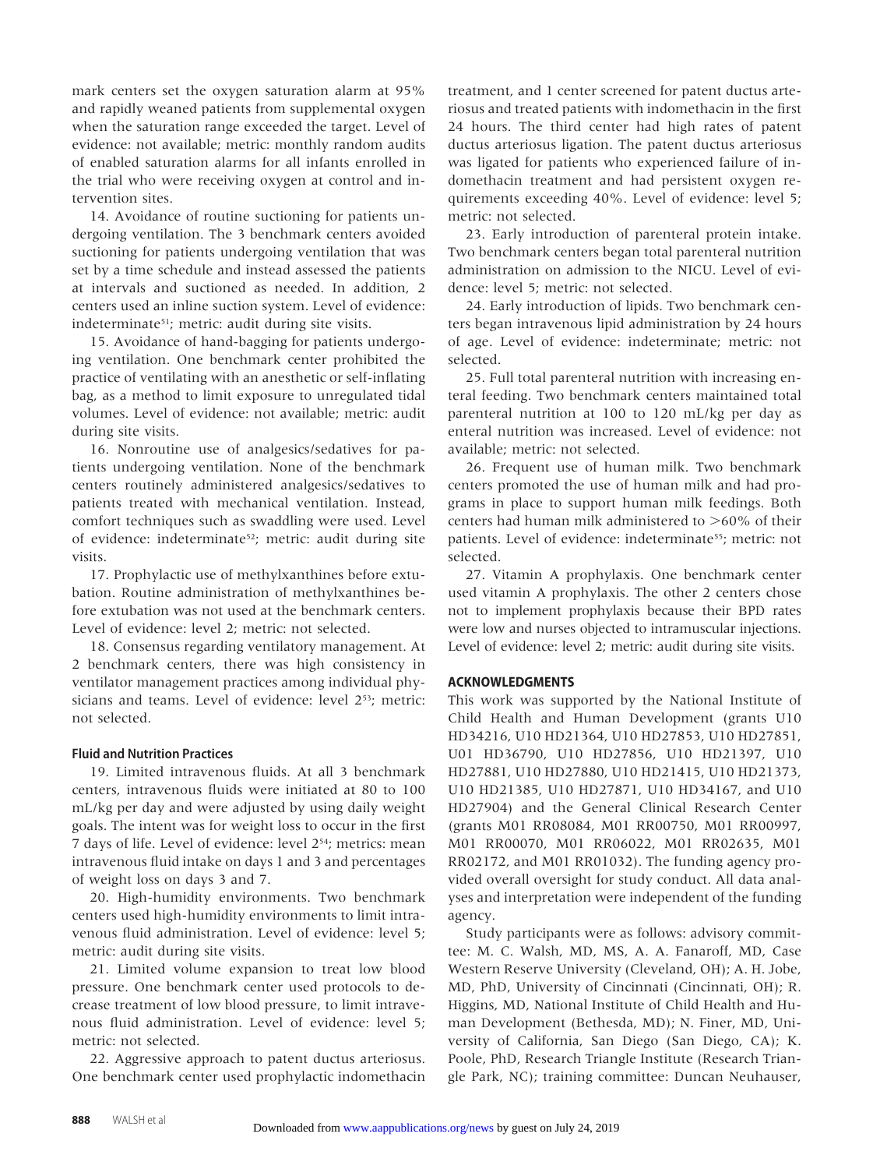mark centers set the oxygen saturation alarm at 95% and rapidly weaned patients from supplemental oxygen when the saturation range exceeded the target. Level of evidence: not available; metric: monthly random audits of enabled saturation alarms for all infants enrolled in the trial who were receiving oxygen at control and intervention sites.

14. Avoidance of routine suctioning for patients undergoing ventilation. The 3 benchmark centers avoided suctioning for patients undergoing ventilation that was set by a time schedule and instead assessed the patients at intervals and suctioned as needed. In addition, 2 centers used an inline suction system. Level of evidence: indeterminate<sup>51</sup>; metric: audit during site visits.

15. Avoidance of hand-bagging for patients undergoing ventilation. One benchmark center prohibited the practice of ventilating with an anesthetic or self-inflating bag, as a method to limit exposure to unregulated tidal volumes. Level of evidence: not available; metric: audit during site visits.

16. Nonroutine use of analgesics/sedatives for patients undergoing ventilation. None of the benchmark centers routinely administered analgesics/sedatives to patients treated with mechanical ventilation. Instead, comfort techniques such as swaddling were used. Level of evidence: indeterminate<sup>52</sup>; metric: audit during site visits.

17. Prophylactic use of methylxanthines before extubation. Routine administration of methylxanthines before extubation was not used at the benchmark centers. Level of evidence: level 2; metric: not selected.

18. Consensus regarding ventilatory management. At 2 benchmark centers, there was high consistency in ventilator management practices among individual physicians and teams. Level of evidence: level 253; metric: not selected.

# **Fluid and Nutrition Practices**

19. Limited intravenous fluids. At all 3 benchmark centers, intravenous fluids were initiated at 80 to 100 mL/kg per day and were adjusted by using daily weight goals. The intent was for weight loss to occur in the first 7 days of life. Level of evidence: level 254; metrics: mean intravenous fluid intake on days 1 and 3 and percentages of weight loss on days 3 and 7.

20. High-humidity environments. Two benchmark centers used high-humidity environments to limit intravenous fluid administration. Level of evidence: level 5; metric: audit during site visits.

21. Limited volume expansion to treat low blood pressure. One benchmark center used protocols to decrease treatment of low blood pressure, to limit intravenous fluid administration. Level of evidence: level 5; metric: not selected.

22. Aggressive approach to patent ductus arteriosus. One benchmark center used prophylactic indomethacin

treatment, and 1 center screened for patent ductus arteriosus and treated patients with indomethacin in the first 24 hours. The third center had high rates of patent ductus arteriosus ligation. The patent ductus arteriosus was ligated for patients who experienced failure of indomethacin treatment and had persistent oxygen requirements exceeding 40%. Level of evidence: level 5; metric: not selected.

23. Early introduction of parenteral protein intake. Two benchmark centers began total parenteral nutrition administration on admission to the NICU. Level of evidence: level 5; metric: not selected.

24. Early introduction of lipids. Two benchmark centers began intravenous lipid administration by 24 hours of age. Level of evidence: indeterminate; metric: not selected.

25. Full total parenteral nutrition with increasing enteral feeding. Two benchmark centers maintained total parenteral nutrition at 100 to 120 mL/kg per day as enteral nutrition was increased. Level of evidence: not available; metric: not selected.

26. Frequent use of human milk. Two benchmark centers promoted the use of human milk and had programs in place to support human milk feedings. Both centers had human milk administered to  $>60\%$  of their patients. Level of evidence: indeterminate<sup>55</sup>; metric: not selected.

27. Vitamin A prophylaxis. One benchmark center used vitamin A prophylaxis. The other 2 centers chose not to implement prophylaxis because their BPD rates were low and nurses objected to intramuscular injections. Level of evidence: level 2; metric: audit during site visits.

# **ACKNOWLEDGMENTS**

This work was supported by the National Institute of Child Health and Human Development (grants U10 HD34216, U10 HD21364, U10 HD27853, U10 HD27851, U01 HD36790, U10 HD27856, U10 HD21397, U10 HD27881, U10 HD27880, U10 HD21415, U10 HD21373, U10 HD21385, U10 HD27871, U10 HD34167, and U10 HD27904) and the General Clinical Research Center (grants M01 RR08084, M01 RR00750, M01 RR00997, M01 RR00070, M01 RR06022, M01 RR02635, M01 RR02172, and M01 RR01032). The funding agency provided overall oversight for study conduct. All data analyses and interpretation were independent of the funding agency.

Study participants were as follows: advisory committee: M. C. Walsh, MD, MS, A. A. Fanaroff, MD, Case Western Reserve University (Cleveland, OH); A. H. Jobe, MD, PhD, University of Cincinnati (Cincinnati, OH); R. Higgins, MD, National Institute of Child Health and Human Development (Bethesda, MD); N. Finer, MD, University of California, San Diego (San Diego, CA); K. Poole, PhD, Research Triangle Institute (Research Triangle Park, NC); training committee: Duncan Neuhauser,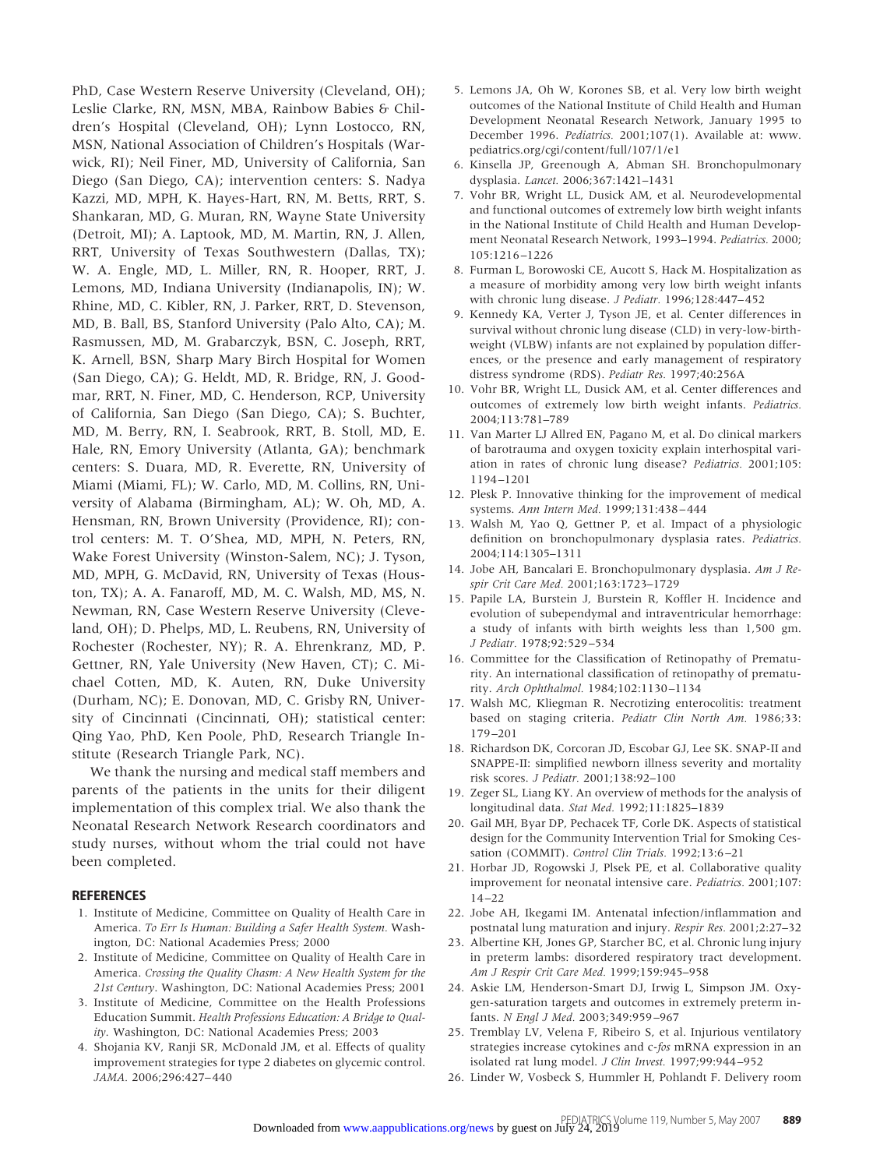PhD, Case Western Reserve University (Cleveland, OH); Leslie Clarke, RN, MSN, MBA, Rainbow Babies & Children's Hospital (Cleveland, OH); Lynn Lostocco, RN, MSN, National Association of Children's Hospitals (Warwick, RI); Neil Finer, MD, University of California, San Diego (San Diego, CA); intervention centers: S. Nadya Kazzi, MD, MPH, K. Hayes-Hart, RN, M. Betts, RRT, S. Shankaran, MD, G. Muran, RN, Wayne State University (Detroit, MI); A. Laptook, MD, M. Martin, RN, J. Allen, RRT, University of Texas Southwestern (Dallas, TX); W. A. Engle, MD, L. Miller, RN, R. Hooper, RRT, J. Lemons, MD, Indiana University (Indianapolis, IN); W. Rhine, MD, C. Kibler, RN, J. Parker, RRT, D. Stevenson, MD, B. Ball, BS, Stanford University (Palo Alto, CA); M. Rasmussen, MD, M. Grabarczyk, BSN, C. Joseph, RRT, K. Arnell, BSN, Sharp Mary Birch Hospital for Women (San Diego, CA); G. Heldt, MD, R. Bridge, RN, J. Goodmar, RRT, N. Finer, MD, C. Henderson, RCP, University of California, San Diego (San Diego, CA); S. Buchter, MD, M. Berry, RN, I. Seabrook, RRT, B. Stoll, MD, E. Hale, RN, Emory University (Atlanta, GA); benchmark centers: S. Duara, MD, R. Everette, RN, University of Miami (Miami, FL); W. Carlo, MD, M. Collins, RN, University of Alabama (Birmingham, AL); W. Oh, MD, A. Hensman, RN, Brown University (Providence, RI); control centers: M. T. O'Shea, MD, MPH, N. Peters, RN, Wake Forest University (Winston-Salem, NC); J. Tyson, MD, MPH, G. McDavid, RN, University of Texas (Houston, TX); A. A. Fanaroff, MD, M. C. Walsh, MD, MS, N. Newman, RN, Case Western Reserve University (Cleveland, OH); D. Phelps, MD, L. Reubens, RN, University of Rochester (Rochester, NY); R. A. Ehrenkranz, MD, P. Gettner, RN, Yale University (New Haven, CT); C. Michael Cotten, MD, K. Auten, RN, Duke University (Durham, NC); E. Donovan, MD, C. Grisby RN, University of Cincinnati (Cincinnati, OH); statistical center: Qing Yao, PhD, Ken Poole, PhD, Research Triangle Institute (Research Triangle Park, NC).

We thank the nursing and medical staff members and parents of the patients in the units for their diligent implementation of this complex trial. We also thank the Neonatal Research Network Research coordinators and study nurses, without whom the trial could not have been completed.

#### **REFERENCES**

- 1. Institute of Medicine, Committee on Quality of Health Care in America. *To Err Is Human: Building a Safer Health System.* Washington, DC: National Academies Press; 2000
- 2. Institute of Medicine, Committee on Quality of Health Care in America. *Crossing the Quality Chasm: A New Health System for the 21st Century*. Washington, DC: National Academies Press; 2001
- 3. Institute of Medicine, Committee on the Health Professions Education Summit. *Health Professions Education: A Bridge to Quality*. Washington, DC: National Academies Press; 2003
- 4. Shojania KV, Ranji SR, McDonald JM, et al. Effects of quality improvement strategies for type 2 diabetes on glycemic control. *JAMA.* 2006;296:427– 440
- 5. Lemons JA, Oh W, Korones SB, et al. Very low birth weight outcomes of the National Institute of Child Health and Human Development Neonatal Research Network, January 1995 to December 1996. *Pediatrics.* 2001;107(1). Available at: www. pediatrics.org/cgi/content/full/107/1/e1
- 6. Kinsella JP, Greenough A, Abman SH. Bronchopulmonary dysplasia. *Lancet.* 2006;367:1421–1431
- 7. Vohr BR, Wright LL, Dusick AM, et al. Neurodevelopmental and functional outcomes of extremely low birth weight infants in the National Institute of Child Health and Human Development Neonatal Research Network, 1993–1994. *Pediatrics.* 2000; 105:1216 –1226
- 8. Furman L, Borowoski CE, Aucott S, Hack M. Hospitalization as a measure of morbidity among very low birth weight infants with chronic lung disease. *J Pediatr.* 1996;128:447– 452
- 9. Kennedy KA, Verter J, Tyson JE, et al. Center differences in survival without chronic lung disease (CLD) in very-low-birthweight (VLBW) infants are not explained by population differences, or the presence and early management of respiratory distress syndrome (RDS). *Pediatr Res.* 1997;40:256A
- 10. Vohr BR, Wright LL, Dusick AM, et al. Center differences and outcomes of extremely low birth weight infants. *Pediatrics.* 2004;113:781–789
- 11. Van Marter LJ Allred EN, Pagano M, et al. Do clinical markers of barotrauma and oxygen toxicity explain interhospital variation in rates of chronic lung disease? *Pediatrics.* 2001;105: 1194 –1201
- 12. Plesk P. Innovative thinking for the improvement of medical systems. *Ann Intern Med.* 1999;131:438 – 444
- 13. Walsh M, Yao Q, Gettner P, et al. Impact of a physiologic definition on bronchopulmonary dysplasia rates. *Pediatrics.* 2004;114:1305–1311
- 14. Jobe AH, Bancalari E. Bronchopulmonary dysplasia. *Am J Respir Crit Care Med.* 2001;163:1723–1729
- 15. Papile LA, Burstein J, Burstein R, Koffler H. Incidence and evolution of subependymal and intraventricular hemorrhage: a study of infants with birth weights less than 1,500 gm. *J Pediatr.* 1978;92:529 –534
- 16. Committee for the Classification of Retinopathy of Prematurity. An international classification of retinopathy of prematurity. *Arch Ophthalmol.* 1984;102:1130 –1134
- 17. Walsh MC, Kliegman R. Necrotizing enterocolitis: treatment based on staging criteria. *Pediatr Clin North Am.* 1986;33: 179 –201
- 18. Richardson DK, Corcoran JD, Escobar GJ, Lee SK. SNAP-II and SNAPPE-II: simplified newborn illness severity and mortality risk scores. *J Pediatr.* 2001;138:92–100
- 19. Zeger SL, Liang KY. An overview of methods for the analysis of longitudinal data. *Stat Med.* 1992;11:1825–1839
- 20. Gail MH, Byar DP, Pechacek TF, Corle DK. Aspects of statistical design for the Community Intervention Trial for Smoking Cessation (COMMIT). *Control Clin Trials.* 1992;13:6 –21
- 21. Horbar JD, Rogowski J, Plsek PE, et al. Collaborative quality improvement for neonatal intensive care. *Pediatrics.* 2001;107:  $14 - 22$
- 22. Jobe AH, Ikegami IM. Antenatal infection/inflammation and postnatal lung maturation and injury. *Respir Res.* 2001;2:27–32
- 23. Albertine KH, Jones GP, Starcher BC, et al. Chronic lung injury in preterm lambs: disordered respiratory tract development. *Am J Respir Crit Care Med.* 1999;159:945–958
- 24. Askie LM, Henderson-Smart DJ, Irwig L, Simpson JM. Oxygen-saturation targets and outcomes in extremely preterm infants. *N Engl J Med.* 2003;349:959 –967
- 25. Tremblay LV, Velena F, Ribeiro S, et al. Injurious ventilatory strategies increase cytokines and c-*fos* mRNA expression in an isolated rat lung model. *J Clin Invest.* 1997;99:944 –952
- 26. Linder W, Vosbeck S, Hummler H, Pohlandt F. Delivery room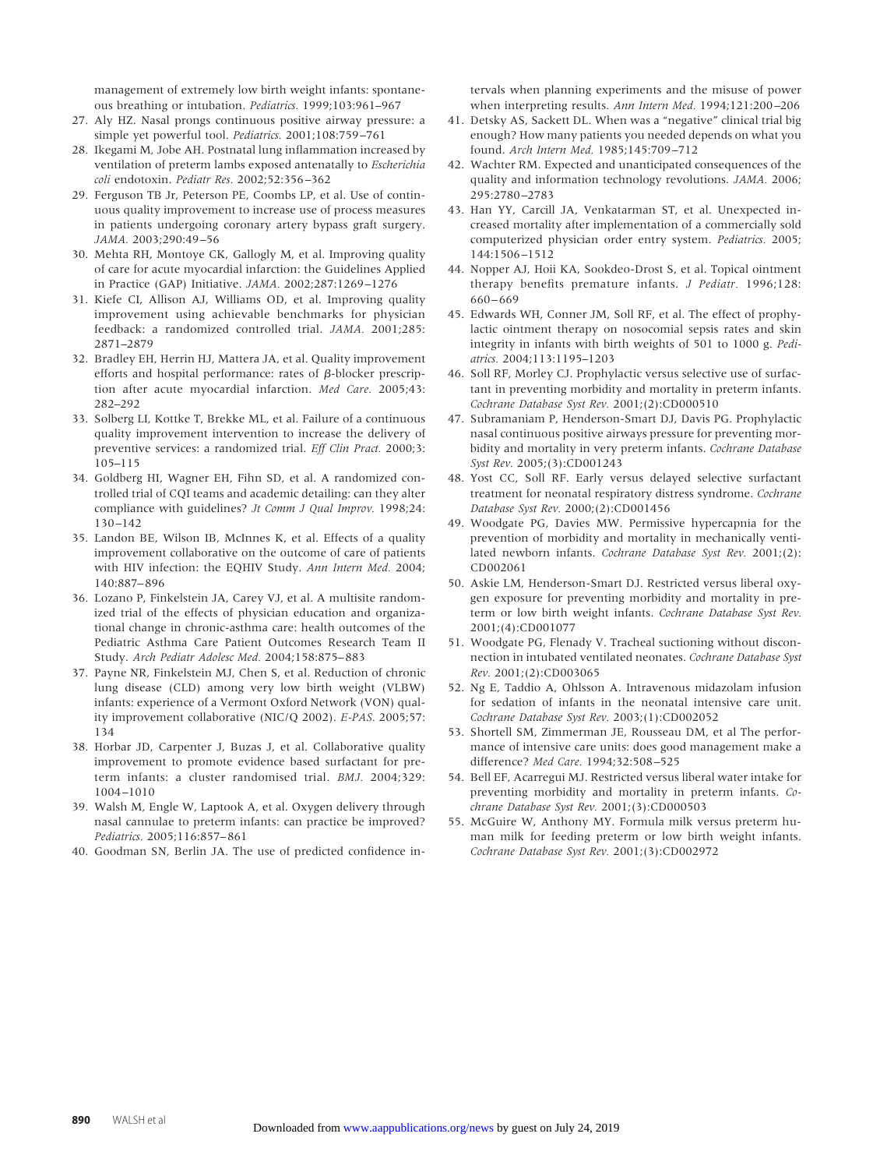management of extremely low birth weight infants: spontaneous breathing or intubation. *Pediatrics.* 1999;103:961–967

- 27. Aly HZ. Nasal prongs continuous positive airway pressure: a simple yet powerful tool. *Pediatrics.* 2001;108:759 –761
- 28. Ikegami M, Jobe AH. Postnatal lung inflammation increased by ventilation of preterm lambs exposed antenatally to *Escherichia coli* endotoxin. *Pediatr Res.* 2002;52:356 –362
- 29. Ferguson TB Jr, Peterson PE, Coombs LP, et al. Use of continuous quality improvement to increase use of process measures in patients undergoing coronary artery bypass graft surgery. *JAMA.* 2003;290:49 –56
- 30. Mehta RH, Montoye CK, Gallogly M, et al. Improving quality of care for acute myocardial infarction: the Guidelines Applied in Practice (GAP) Initiative. *JAMA.* 2002;287:1269 –1276
- 31. Kiefe CI, Allison AJ, Williams OD, et al. Improving quality improvement using achievable benchmarks for physician feedback: a randomized controlled trial. *JAMA.* 2001;285: 2871–2879
- 32. Bradley EH, Herrin HJ, Mattera JA, et al. Quality improvement efforts and hospital performance: rates of  $\beta$ -blocker prescription after acute myocardial infarction. *Med Care.* 2005;43: 282–292
- 33. Solberg LI, Kottke T, Brekke ML, et al. Failure of a continuous quality improvement intervention to increase the delivery of preventive services: a randomized trial. *Eff Clin Pract.* 2000;3: 105–115
- 34. Goldberg HI, Wagner EH, Fihn SD, et al. A randomized controlled trial of CQI teams and academic detailing: can they alter compliance with guidelines? *Jt Comm J Qual Improv.* 1998;24:  $130 - 142$
- 35. Landon BE, Wilson IB, McInnes K, et al. Effects of a quality improvement collaborative on the outcome of care of patients with HIV infection: the EQHIV Study. *Ann Intern Med.* 2004; 140:887– 896
- 36. Lozano P, Finkelstein JA, Carey VJ, et al. A multisite randomized trial of the effects of physician education and organizational change in chronic-asthma care: health outcomes of the Pediatric Asthma Care Patient Outcomes Research Team II Study. *Arch Pediatr Adolesc Med.* 2004;158:875– 883
- 37. Payne NR, Finkelstein MJ, Chen S, et al. Reduction of chronic lung disease (CLD) among very low birth weight (VLBW) infants: experience of a Vermont Oxford Network (VON) quality improvement collaborative (NIC/Q 2002). *E-PAS.* 2005;57: 134
- 38. Horbar JD, Carpenter J, Buzas J, et al. Collaborative quality improvement to promote evidence based surfactant for preterm infants: a cluster randomised trial. *BMJ.* 2004;329: 1004 –1010
- 39. Walsh M, Engle W, Laptook A, et al. Oxygen delivery through nasal cannulae to preterm infants: can practice be improved? *Pediatrics.* 2005;116:857– 861
- 40. Goodman SN, Berlin JA. The use of predicted confidence in-

tervals when planning experiments and the misuse of power when interpreting results. *Ann Intern Med.* 1994;121:200 –206

- 41. Detsky AS, Sackett DL. When was a "negative" clinical trial big enough? How many patients you needed depends on what you found. *Arch Intern Med.* 1985;145:709 –712
- 42. Wachter RM. Expected and unanticipated consequences of the quality and information technology revolutions. *JAMA.* 2006; 295:2780 –2783
- 43. Han YY, Carcill JA, Venkatarman ST, et al. Unexpected increased mortality after implementation of a commercially sold computerized physician order entry system. *Pediatrics.* 2005; 144:1506 –1512
- 44. Nopper AJ, Hoii KA, Sookdeo-Drost S, et al. Topical ointment therapy benefits premature infants. *J Pediatr.* 1996;128:  $660 - 669$
- 45. Edwards WH, Conner JM, Soll RF, et al. The effect of prophylactic ointment therapy on nosocomial sepsis rates and skin integrity in infants with birth weights of 501 to 1000 g. *Pediatrics.* 2004;113:1195–1203
- 46. Soll RF, Morley CJ. Prophylactic versus selective use of surfactant in preventing morbidity and mortality in preterm infants. *Cochrane Database Syst Rev.* 2001;(2):CD000510
- 47. Subramaniam P, Henderson-Smart DJ, Davis PG. Prophylactic nasal continuous positive airways pressure for preventing morbidity and mortality in very preterm infants. *Cochrane Database Syst Rev.* 2005;(3):CD001243
- 48. Yost CC, Soll RF. Early versus delayed selective surfactant treatment for neonatal respiratory distress syndrome. *Cochrane Database Syst Rev.* 2000;(2):CD001456
- 49. Woodgate PG, Davies MW. Permissive hypercapnia for the prevention of morbidity and mortality in mechanically ventilated newborn infants. *Cochrane Database Syst Rev.* 2001;(2): CD002061
- 50. Askie LM, Henderson-Smart DJ. Restricted versus liberal oxygen exposure for preventing morbidity and mortality in preterm or low birth weight infants. *Cochrane Database Syst Rev.* 2001;(4):CD001077
- 51. Woodgate PG, Flenady V. Tracheal suctioning without disconnection in intubated ventilated neonates. *Cochrane Database Syst Rev.* 2001;(2):CD003065
- 52. Ng E, Taddio A, Ohlsson A. Intravenous midazolam infusion for sedation of infants in the neonatal intensive care unit. *Cochrane Database Syst Rev.* 2003;(1):CD002052
- 53. Shortell SM, Zimmerman JE, Rousseau DM, et al The performance of intensive care units: does good management make a difference? *Med Care.* 1994;32:508 –525
- 54. Bell EF, Acarregui MJ. Restricted versus liberal water intake for preventing morbidity and mortality in preterm infants. *Cochrane Database Syst Rev.* 2001;(3):CD000503
- 55. McGuire W, Anthony MY. Formula milk versus preterm human milk for feeding preterm or low birth weight infants. *Cochrane Database Syst Rev.* 2001;(3):CD002972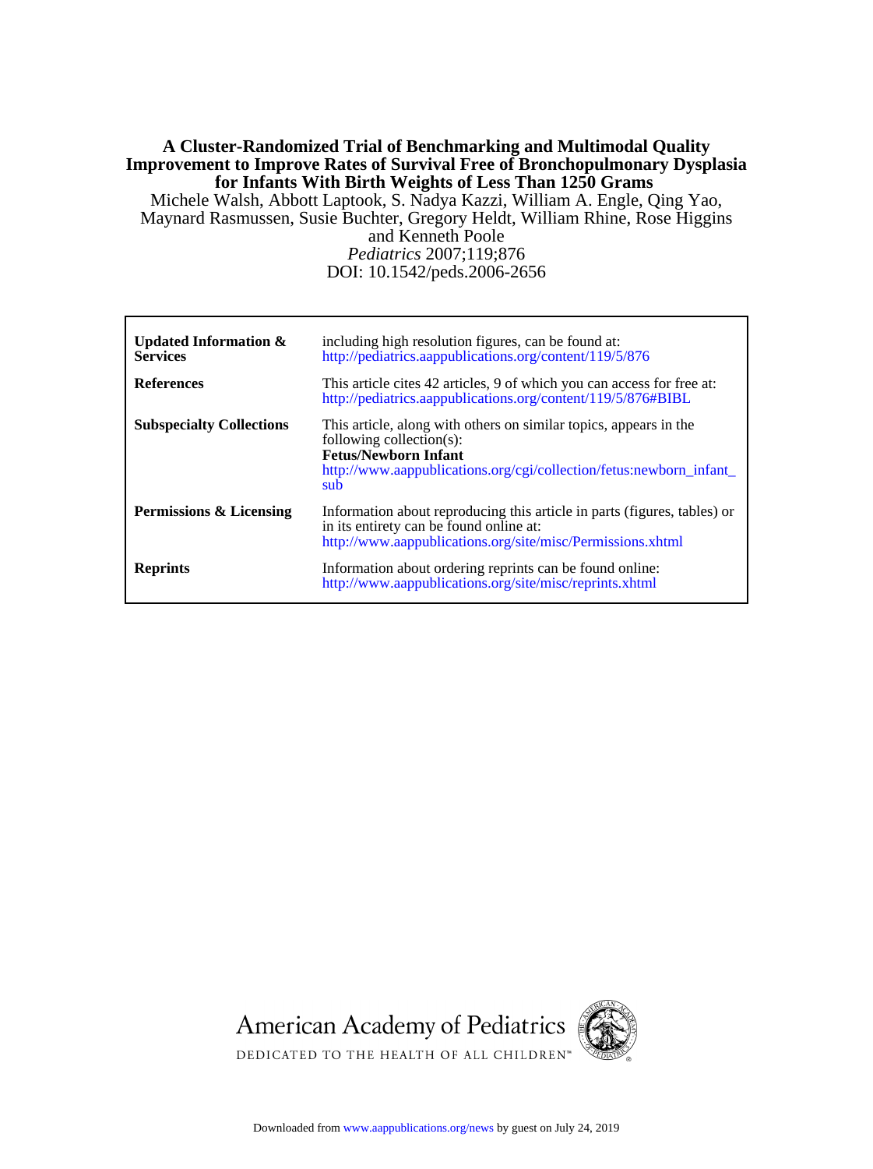# **for Infants With Birth Weights of Less Than 1250 Grams Improvement to Improve Rates of Survival Free of Bronchopulmonary Dysplasia A Cluster-Randomized Trial of Benchmarking and Multimodal Quality**

and Kenneth Poole Maynard Rasmussen, Susie Buchter, Gregory Heldt, William Rhine, Rose Higgins Michele Walsh, Abbott Laptook, S. Nadya Kazzi, William A. Engle, Qing Yao,

DOI: 10.1542/peds.2006-2656 *Pediatrics* 2007;119;876

| Updated Information $\&$<br><b>Services</b> | including high resolution figures, can be found at:<br>http://pediatrics.aappublications.org/content/119/5/876                                                                                             |
|---------------------------------------------|------------------------------------------------------------------------------------------------------------------------------------------------------------------------------------------------------------|
| <b>References</b>                           | This article cites 42 articles, 9 of which you can access for free at:<br>http://pediatrics.aappublications.org/content/119/5/876#BIBL                                                                     |
| <b>Subspecialty Collections</b>             | This article, along with others on similar topics, appears in the<br>following collection(s):<br><b>Fetus/Newborn Infant</b><br>http://www.aappublications.org/cgi/collection/fetus:newborn_infant_<br>sub |
| <b>Permissions &amp; Licensing</b>          | Information about reproducing this article in parts (figures, tables) or<br>in its entirety can be found online at:<br>http://www.aappublications.org/site/misc/Permissions.xhtml                          |
| <b>Reprints</b>                             | Information about ordering reprints can be found online:<br>http://www.aappublications.org/site/misc/reprints.xhtml                                                                                        |